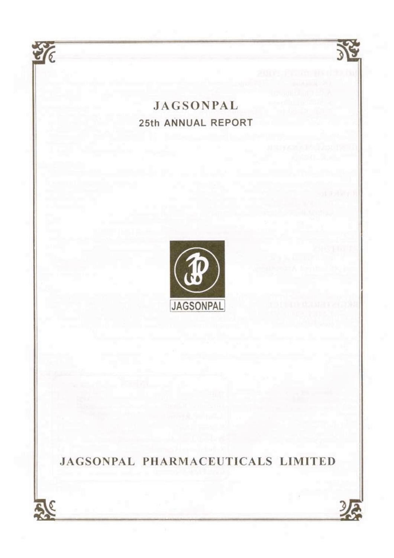# **JAGSONPAL** 25th ANNUAL REPORT

TE

零

**Jagsonpal || 25th Annual Report**



JAGSONPAL PHARMACEUTICALS LIMITED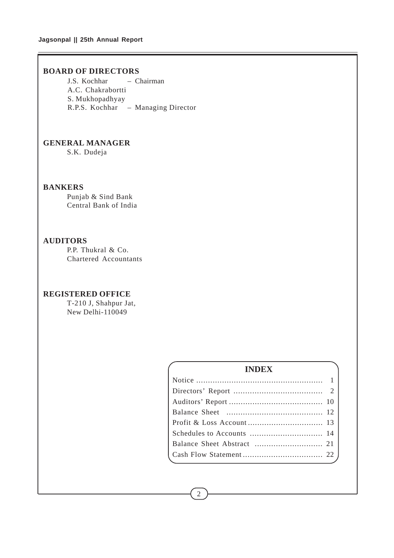## **Jagsonpal || 25th Annual Report**

## **BOARD OF DIRECTORS**

J.S. Kochhar – Chairman A.C. Chakrabortti S. Mukhopadhyay R.P.S. Kochhar – Managing Director

## **GENERAL MANAGER**

S.K. Dudeja

## **BANKERS**

Punjab & Sind Bank Central Bank of India

## **AUDITORS**

P.P. Thukral & Co. Chartered Accountants

## **REGISTERED OFFICE**

T-210 J, Shahpur Jat, New Delhi-110049

## **INDEX**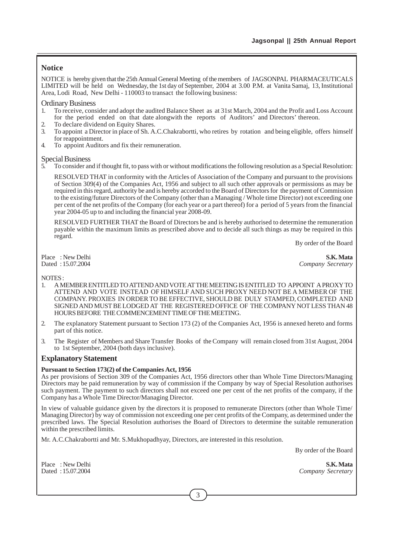## **Notice**

NOTICE is hereby given that the 25th Annual General Meeting of the members of JAGSONPAL PHARMACEUTICALS LIMITED will be held on Wednesday, the 1st day of September, 2004 at 3.00 P.M. at Vanita Samaj, 13, Institutional Area, Lodi Road, New Delhi - 110003 to transact the following business:

### Ordinary Business

- 1. To receive, consider and adopt the audited Balance Sheet as at 31st March, 2004 and the Profit and Loss Account for the period ended on that date alongwith the reports of Auditors' and Directors' thereon.
- 2. To declare dividend on Equity Shares.
- 3. To appoint a Director in place of Sh. A.C.Chakrabortti, who retires by rotation and being eligible, offers himself for reappointment.
- 4. To appoint Auditors and fix their remuneration.

### Special Business

5. To consider and if thought fit, to pass with or without modifications the following resolution as a Special Resolution:

RESOLVED THAT in conformity with the Articles of Association of the Company and pursuant to the provisions of Section 309(4) of the Companies Act, 1956 and subject to all such other approvals or permissions as may be required in this regard, authority be and is hereby accorded to the Board of Directors for the payment of Commission to the existing/future Directors of the Company (other than a Managing / Whole time Director) not exceeding one per cent of the net profits of the Company (for each year or a part thereof) for a period of 5 years from the financial year 2004-05 up to and including the financial year 2008-09.

RESOLVED FURTHER THAT the Board of Directors be and is hereby authorised to determine the remuneration payable within the maximum limits as prescribed above and to decide all such things as may be required in this regard.

By order of the Board

Place : New Delhi **S.K. Mata**<br>Dated : 15.07.2004 **S.K.** Mata

 $Companv$  *Secretary* 

### NOTES :

- 1. A MEMBER ENTITLED TO ATTEND AND VOTE AT THE MEETING IS ENTITLED TO APPOINT A PROXY TO ATTEND AND VOTE INSTEAD OF HIMSELF AND SUCH PROXY NEED NOT BE A MEMBER OF THE COMPANY. PROXIES IN ORDER TO BE EFFECTIVE, SHOULD BE DULY STAMPED, COMPLETED AND SIGNED AND MUST BE LODGED AT THE REGISTERED OFFICE OF THE COMPANY NOT LESS THAN 48 HOURS BEFORE THE COMMENCEMENT TIME OF THE MEETING.
- 2. The explanatory Statement pursuant to Section 173 (2) of the Companies Act, 1956 is annexed hereto and forms part of this notice.
- 3. The Register of Members and Share Transfer Books of the Company will remain closed from 31st August, 2004 to 1st September, 2004 (both days inclusive).

## **Explanatory Statement**

#### **Pursuant to Section 173(2) of the Companies Act, 1956**

As per provisions of Section 309 of the Companies Act, 1956 directors other than Whole Time Directors/Managing Directors may be paid remuneration by way of commission if the Company by way of Special Resolution authorises such payment. The payment to such directors shall not exceed one per cent of the net profits of the company, if the Company has a Whole Time Director/Managing Director.

In view of valuable guidance given by the directors it is proposed to remunerate Directors (other than Whole Time/ Managing Director) by way of commission not exceeding one per cent profits of the Company, as determined under the prescribed laws. The Special Resolution authorises the Board of Directors to determine the suitable remuneration within the prescribed limits.

Mr. A.C.Chakrabortti and Mr. S.Mukhopadhyay, Directors, are interested in this resolution.

By order of the Board

Place : New Delhi **S.K. Mata**<br>Dated : 15.07.2004 **Company Secretary**  $Company$  *Secretary*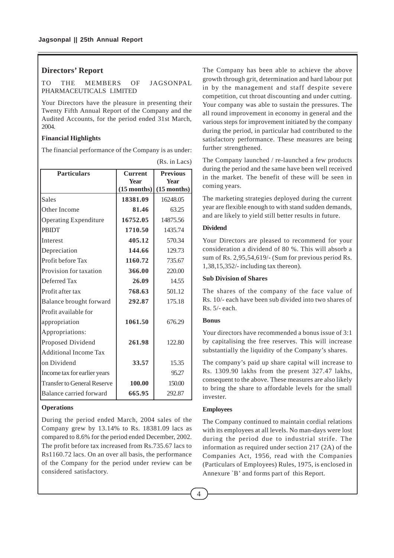## **Directors' Report**

TO THE MEMBERS OF JAGSONPAL PHARMACEUTICALS LIMITED

Your Directors have the pleasure in presenting their Twenty Fifth Annual Report of the Company and the Audited Accounts, for the period ended 31st March, 2004.

#### **Financial Highlights**

The financial performance of the Company is as under:

| <b>Particulars</b>                 | <b>Current</b> | <b>Previous</b> |
|------------------------------------|----------------|-----------------|
|                                    | <b>Year</b>    | <b>Year</b>     |
|                                    | $(15$ months)  | $(15$ months)   |
| <b>Sales</b>                       | 18381.09       | 16248.05        |
| Other Income                       | 81.46          | 63.25           |
| <b>Operating Expenditure</b>       | 16752.05       | 14875.56        |
| <b>PRIDT</b>                       | 1710.50        | 1435.74         |
| <b>Interest</b>                    | 405.12         | 570.34          |
| Depreciation                       | 144.66         | 129.73          |
| Profit before Tax                  | 1160.72        | 735.67          |
| Provision for taxation             | 366.00         | 220.00          |
| Deferred Tax                       | 26.09          | 14.55           |
| Profit after tax                   | 768.63         | 501.12          |
| Balance brought forward            | 292.87         | 175.18          |
| Profit available for               |                |                 |
| appropriation                      | 1061.50        | 676.29          |
| Appropriations:                    |                |                 |
| Proposed Dividend                  | 261.98         | 122.80          |
| <b>Additional Income Tax</b>       |                |                 |
| on Dividend                        | 33.57          | 15.35           |
| Income tax for earlier years       |                | 95.27           |
| <b>Transfer to General Reserve</b> | 100.00         | 150.00          |
| Balance carried forward            | 665.95         | 292.87          |

(Rs. in Lacs)

## **Operations**

During the period ended March, 2004 sales of the Company grew by 13.14% to Rs. 18381.09 lacs as compared to 8.6% for the period ended December, 2002. The profit before tax increased from Rs.735.67 lacs to Rs1160.72 lacs. On an over all basis, the performance of the Company for the period under review can be considered satisfactory.

The Company has been able to achieve the above growth through grit, determination and hard labour put in by the management and staff despite severe competition, cut throat discounting and under cutting. Your company was able to sustain the pressures. The all round improvement in economy in general and the various steps for improvement initiated by the company during the period, in particular had contributed to the satisfactory performance. These measures are being further strengthened.

The Company launched / re-launched a few products during the period and the same have been well received in the market. The benefit of these will be seen in coming years.

The marketing strategies deployed during the current year are flexible enough to with stand sudden demands, and are likely to yield still better results in future.

## **Dividend**

Your Directors are pleased to recommend for your consideration a dividend of 80 %. This will absorb a sum of Rs. 2,95,54,619/- (Sum for previous period Rs. 1,38,15,352/- including tax thereon).

#### **Sub Division of Shares**

The shares of the company of the face value of Rs. 10/- each have been sub divided into two shares of Rs. 5/- each.

### **Bonus**

Your directors have recommended a bonus issue of 3:1 by capitalising the free reserves. This will increase substantially the liquidity of the Company's shares.

The company's paid up share capital will increase to Rs. 1309.90 lakhs from the present 327.47 lakhs, consequent to the above. These measures are also likely to bring the share to affordable levels for the small invester.

## **Employees**

The Company continued to maintain cordial relations with its employees at all levels. No man-days were lost during the period due to industrial strife. The information as required under section 217 (2A) of the Companies Act, 1956, read with the Companies (Particulars of Employees) Rules, 1975, is enclosed in Annexure `B' and forms part of this Report.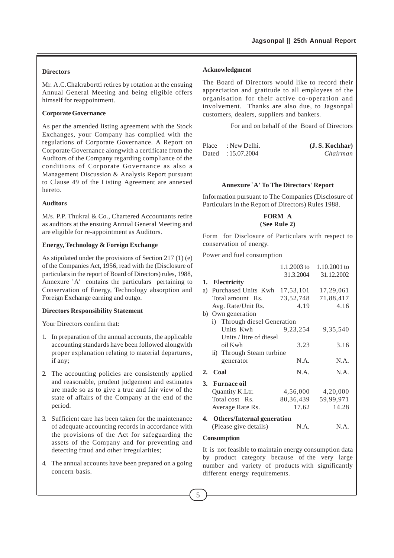## **Directors**

Mr. A.C.Chakrabortti retires by rotation at the ensuing Annual General Meeting and being eligible offers himself for reappointment.

### **Corporate Governance**

As per the amended listing agreement with the Stock Exchanges, your Company has complied with the regulations of Corporate Governance. A Report on Corporate Governance alongwith a certificate from the Auditors of the Company regarding compliance of the conditions of Corporate Governance as also a Management Discussion & Analysis Report pursuant to Clause 49 of the Listing Agreement are annexed hereto.

#### **Auditors**

M/s. P.P. Thukral & Co., Chartered Accountants retire as auditors at the ensuing Annual General Meeting and are eligible for re-appointment as Auditors.

### **Energy, Technology & Foreign Exchange**

As stipulated under the provisions of Section 217 (1) (e) of the Companies Act, 1956, read with the (Disclosure of particulars in the report of Board of Directors) rules, 1988, Annexure 'A' contains the particulars pertaining to Conservation of Energy, Technology absorption and Foreign Exchange earning and outgo.

### **Directors Responsibility Statement**

Your Directors confirm that:

- 1. In preparation of the annual accounts, the applicable accounting standards have been followed alongwith proper explanation relating to material departures, if any;
- 2. The accounting policies are consistently applied and reasonable, prudent judgement and estimates are made so as to give a true and fair view of the state of affairs of the Company at the end of the period.
- 3. Sufficient care has been taken for the maintenance of adequate accounting records in accordance with the provisions of the Act for safeguarding the assets of the Company and for preventing and detecting fraud and other irregularities;
- 4. The annual accounts have been prepared on a going concern basis.

#### **Acknowledgment**

The Board of Directors would like to record their appreciation and gratitude to all employees of the organisation for their active co-operation and involvement. Thanks are also due, to Jagsonpal customers, dealers, suppliers and bankers.

For and on behalf of the Board of Directors

| Place | : New Delhi.      | (J.S. Kochhar) |
|-------|-------------------|----------------|
|       | Dated: 15.07.2004 | Chairman       |

#### **Annexure `A' To The Directors' Report**

Information pursuant to The Companies (Disclosure of Particulars in the Report of Directors) Rules 1988.

## **FORM A (See Rule 2)**

Form for Disclosure of Particulars with respect to conservation of energy.

Power and fuel consumption

|    |                               | 1.1.2003 to | 1.10.2001 to |
|----|-------------------------------|-------------|--------------|
|    |                               | 31.3.2004   | 31.12.2002   |
|    | 1. Electricity                |             |              |
| a) | Purchased Units Kwh           | 17,53,101   | 17,29,061    |
|    | Total amount Rs.              | 73,52,748   | 71,88,417    |
|    | Avg. Rate/Unit Rs.            | 4.19        | 4.16         |
|    | b) Own generation             |             |              |
|    | i) Through diesel Generation  |             |              |
|    | Units Kwh                     | 9, 23, 254  | 9,35,540     |
|    | Units / litre of diesel       |             |              |
|    | oil Kwh                       | 3.23        | 3.16         |
|    | ii) Through Steam turbine     |             |              |
|    | generator                     | N.A.        | N.A.         |
| 2. | Coal                          | N.A.        | N.A.         |
| 3. | <b>Furnace oil</b>            |             |              |
|    | Quantity K.Ltr.               | 4,56,000    | 4,20,000     |
|    | Total cost Rs.                | 80,36,439   | 59,99,971    |
|    | Average Rate Rs.              | 17.62       | 14.28        |
|    | 4. Others/Internal generation |             |              |
|    | (Please give details)         | N.A.        | N.A.         |

#### **Consumption**

It is not feasible to maintain energy consumption data by product category because of the very large number and variety of products with significantly different energy requirements.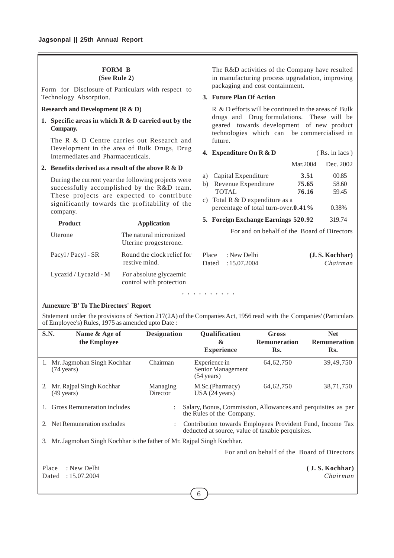## **FORM B**

## **(See Rule 2)**

Form for Disclosure of Particulars with respect to Technology Absorption.

#### **Research and Development (R & D)**

## **1. Specific areas in which R & D carried out by the Company.**

The R & D Centre carries out Research and Development in the area of Bulk Drugs, Drug Intermediates and Pharmaceuticals.

## **2. Benefits derived as a result of the above R & D**

During the current year the following projects were successfully accomplished by the R&D team. These projects are expected to contribute significantly towards the profitability of the company.

**Product Application** Uterone The natural micronized Uterine progesterone. Pacyl / Pacyl - SR Round the clock relief for restive mind. Lycazid / Lycazid -  $M$  For absolute glycaemic

control with protection

The R&D activities of the Company have resulted in manufacturing process upgradation, improving packaging and cost containment.

## **3. Future Plan Of Action**

R & D efforts will be continued in the areas of Bulk drugs and Drug formulations. These will be geared towards development of new product technologies which can be commercialised in future.

#### **4. Expenditure On R & D** (Rs. in lacs )

Mar.2004 Dec. 2002

| a)<br>b) | Capital Expenditure<br>Revenue Expenditure<br>TOTAL.                | 3.51<br>75.65<br>76.16 | 00.85<br>58.60<br>59.45 |
|----------|---------------------------------------------------------------------|------------------------|-------------------------|
| C)       | Total R & D expenditure as a<br>percentage of total turn-over.0.41% |                        | 0.38%                   |
|          | 5. Foreign Exchange Earnings 520.92                                 |                        | 319.74                  |
|          | For and on behalf of the Board of Directors                         |                        |                         |
|          |                                                                     |                        |                         |

| Place : New Delhi | (J.S. Kochhar) |
|-------------------|----------------|
| Dated: 15.07.2004 | Chairman       |

aaaa aaaaaa

#### **Annexure `B' To The Directors' Report**

Statement under the provisions of Section 217(2A) of the Companies Act, 1956 read with the Companies' (Particulars of Employee's) Rules, 1975 as amended upto Date :

| S.N.        | Name & Age of<br>the Employee                                         | <b>Designation</b>                                                                                             | Qualification<br>&<br><b>Experience</b>                                                   | Gross<br><b>Remuneration</b><br>Rs. | <b>Net</b><br><b>Remuneration</b><br>Rs. |  |
|-------------|-----------------------------------------------------------------------|----------------------------------------------------------------------------------------------------------------|-------------------------------------------------------------------------------------------|-------------------------------------|------------------------------------------|--|
|             | 1. Mr. Jagmohan Singh Kochhar<br>$(74 \text{ years})$                 | Chairman                                                                                                       | Experience in<br>Senior Management<br>$(54 \text{ years})$                                | 64, 62, 750                         | 39,49,750                                |  |
|             | Mr. Rajpal Singh Kochhar<br>$(49 \text{ years})$                      | Managing<br><b>Director</b>                                                                                    | M.Sc.(Pharmacy)<br>USA (24 years)                                                         | 64, 62, 750                         | 38,71,750                                |  |
|             | 1. Gross Remuneration includes                                        |                                                                                                                | Salary, Bonus, Commission, Allowances and perquisites as per<br>the Rules of the Company. |                                     |                                          |  |
| $2^{\circ}$ | Net Remuneration excludes                                             | Contribution towards Employees Provident Fund, Income Tax<br>deducted at source, value of taxable perquisites. |                                                                                           |                                     |                                          |  |
| 3.          | Mr. Jagmohan Singh Kochhar is the father of Mr. Rajpal Singh Kochhar. |                                                                                                                |                                                                                           |                                     |                                          |  |
|             | For and on behalf of the Board of Directors                           |                                                                                                                |                                                                                           |                                     |                                          |  |
| Place       | : New Delhi<br>: 15.07.2004<br>Dated                                  |                                                                                                                |                                                                                           |                                     | (J.S. Kochhar)<br>Chairman               |  |

6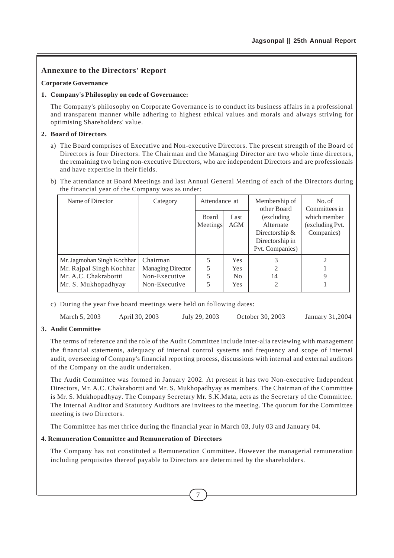## **Annexure to the Directors' Report**

## **Corporate Governance**

## **1. Company's Philosophy on code of Governance:**

The Company's philosophy on Corporate Governance is to conduct its business affairs in a professional and transparent manner while adhering to highest ethical values and morals and always striving for optimising Shareholders' value.

## **2. Board of Directors**

- a) The Board comprises of Executive and Non-executive Directors. The present strength of the Board of Directors is four Directors. The Chairman and the Managing Director are two whole time directors, the remaining two being non-executive Directors, who are independent Directors and are professionals and have expertise in their fields.
- b) The attendance at Board Meetings and last Annual General Meeting of each of the Directors during the financial year of the Company was as under:

| Name of Director           | Category                 | Attendance at            |             | Membership of<br>other Board                                                       | No. of<br>Committees in                       |
|----------------------------|--------------------------|--------------------------|-------------|------------------------------------------------------------------------------------|-----------------------------------------------|
|                            |                          | <b>Board</b><br>Meetings | Last<br>AGM | (excluding)<br>Alternate<br>Directorship $&$<br>Directorship in<br>Pvt. Companies) | which member<br>(excluding Pvt.<br>Companies) |
| Mr. Jagmohan Singh Kochhar | Chairman                 | 5                        | <b>Yes</b>  |                                                                                    | 2                                             |
| Mr. Rajpal Singh Kochhar   | <b>Managing Director</b> | 5                        | <b>Yes</b>  | 2                                                                                  |                                               |
| Mr. A.C. Chakrabortti      | Non-Executive            | 5                        | No          | 14                                                                                 | 9                                             |
| Mr. S. Mukhopadhyay        | Non-Executive            | 5                        | <b>Yes</b>  | 2                                                                                  |                                               |

c) During the year five board meetings were held on following dates:

March 5, 2003 April 30, 2003 July 29, 2003 October 30, 2003 January 31,2004

## **3. Audit Committee**

The terms of reference and the role of the Audit Committee include inter-alia reviewing with management the financial statements, adequacy of internal control systems and frequency and scope of internal audit, overseeing of Company's financial reporting process, discussions with internal and external auditors of the Company on the audit undertaken.

The Audit Committee was formed in January 2002. At present it has two Non-executive Independent Directors, Mr. A.C. Chakrabortti and Mr. S. Mukhopadhyay as members. The Chairman of the Committee is Mr. S. Mukhopadhyay. The Company Secretary Mr. S.K.Mata, acts as the Secretary of the Committee. The Internal Auditor and Statutory Auditors are invitees to the meeting. The quorum for the Committee meeting is two Directors.

The Committee has met thrice during the financial year in March 03, July 03 and January 04.

## **4. Remuneration Committee and Remuneration of Directors**

The Company has not constituted a Remuneration Committee. However the managerial remuneration including perquisites thereof payable to Directors are determined by the shareholders.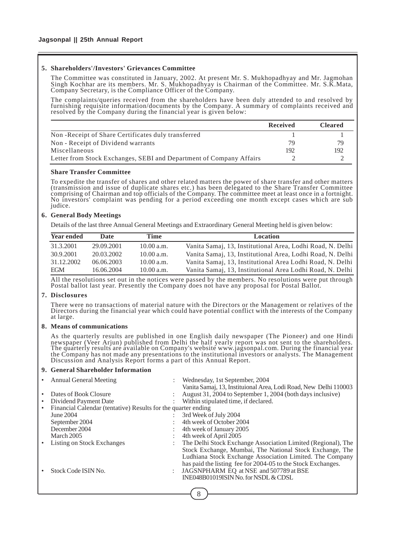#### **5. Shareholders'/Investors' Grievances Committee**

The Committee was constituted in January, 2002. At present Mr. S. Mukhopadhyay and Mr. Jagmohan Singh Kochhar are its members. Mr. S. Mukhopadhyay is Chairman of the Committee. Mr. S.K.Mata, Company Secretary, is the Compliance Officer of the Company.

The complaints/queries received from the shareholders have been duly attended to and resolved by furnishing requisite information/documents by the Company. A summary of complaints received and resolved by the Company during the financial year is given below:

|                                                                     | <b>Received</b> | <b>Cleared</b> |
|---------------------------------------------------------------------|-----------------|----------------|
| Non-Receipt of Share Certificates duly transferred                  |                 |                |
| Non - Receipt of Dividend warrants                                  | 79              | 79             |
| Miscellaneous                                                       | 192             | 192            |
| Letter from Stock Exchanges, SEBI and Department of Company Affairs |                 |                |
|                                                                     |                 |                |

#### **Share Transfer Committee**

To expedite the transfer of shares and other related matters the power of share transfer and other matters (transmission and issue of duplicate shares etc.) has been delegated to the Share Transfer Committee comprising of Chairman and top officials of the Company. The committee meet at least once in a fortnight. No investors' complaint was pending for a period exceeding one month except cases which are sub judice.

### **6. General Body Meetings**

Details of the last three Annual General Meetings and Extraordinary General Meeting held is given below:

| <b>Year ended</b> | <b>Date</b> | Time       | <b>Location</b>                                            |
|-------------------|-------------|------------|------------------------------------------------------------|
| 31.3.2001         | 29.09.2001  | 10.00 a.m. | Vanita Samaj, 13, Institutional Area, Lodhi Road, N. Delhi |
| 30.9.2001         | 20.03.2002  | 10.00 a.m. | Vanita Samaj, 13, Institutional Area, Lodhi Road, N. Delhi |
| 31.12.2002        | 06.06.2003  | 10.00 a.m. | Vanita Samaj, 13, Institutional Area Lodhi Road, N. Delhi  |
| <b>EGM</b>        | 16.06.2004  | 10.00 a.m. | Vanita Samaj, 13, Institutional Area Lodhi Road, N. Delhi  |

All the resolutions set out in the notices were passed by the members. No resolutions were put through Postal ballot last year. Presently the Company does not have any proposal for Postal Ballot.

#### **7. Disclosures**

There were no transactions of material nature with the Directors or the Management or relatives of the Directors during the financial year which could have potential conflict with the interests of the Company at large.

#### **8. Means of communications**

As the quarterly results are published in one English daily newspaper (The Pioneer) and one Hindi newspaper (Veer Arjun) published from Delhi the half yearly report was not sent to the shareholders. The quarterly results are available on Company's website www.jagsonpal.com. During the financial year the Company has not made any presentations to the institutional investors or analysts. The Management Discussion and Analysis Report forms a part of this Annual Report.

#### **9. General Shareholder Information**

| <b>Annual General Meeting</b>                                 | Wednesday, 1st September, 2004                                   |
|---------------------------------------------------------------|------------------------------------------------------------------|
|                                                               | Vanita Samaj, 13, Instituional Area, Lodi Road, New Delhi 110003 |
| Dates of Book Closure                                         | August 31, 2004 to September 1, 2004 (both days inclusive)       |
| Dividend Payment Date                                         | Within stipulated time, if declared.                             |
| Financial Calendar (tentative) Results for the quarter ending |                                                                  |
| June 2004                                                     | 3rd Week of July 2004                                            |
| September 2004                                                | 4th week of October 2004                                         |
| December 2004                                                 | 4th week of January 2005                                         |
| March 2005                                                    | 4th week of April 2005                                           |
| Listing on Stock Exchanges                                    | The Delhi Stock Exchange Association Limited (Regional), The     |
|                                                               | Stock Exchange, Mumbai, The National Stock Exchange, The         |
|                                                               | Ludhiana Stock Exchange Association Limited. The Company         |
|                                                               | has paid the listing fee for 2004-05 to the Stock Exchanges.     |
| Stock Code ISIN No.                                           | JAGSNPHARM EQ at NSE and 507789 at BSE                           |
|                                                               | INE048B01019ISIN No. for NSDL & CDSL                             |
|                                                               |                                                                  |
|                                                               |                                                                  |

8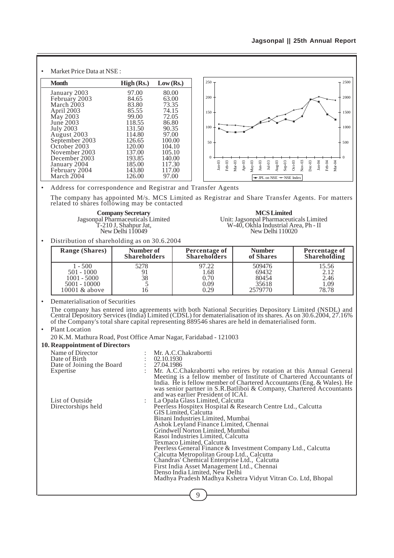| ٠ | Market Price Data at NSE:                                                                                                                               |                                                                                             |                                                                                          |                                                                                                                                                                                                                                                      |                             |
|---|---------------------------------------------------------------------------------------------------------------------------------------------------------|---------------------------------------------------------------------------------------------|------------------------------------------------------------------------------------------|------------------------------------------------------------------------------------------------------------------------------------------------------------------------------------------------------------------------------------------------------|-----------------------------|
|   | <b>Month</b>                                                                                                                                            | High (Rs.)                                                                                  | Low (Rs.)                                                                                | $250 -$                                                                                                                                                                                                                                              | 2500                        |
|   | January 2003<br>February 2003<br>March 2003<br>April 2003<br>May 2003<br>June 2003<br><b>July 2003</b><br>August 2003<br>September 2003<br>October 2003 | 97.00<br>84.65<br>83.80<br>85.55<br>99.00<br>118.55<br>131.50<br>114.80<br>126.65<br>120.00 | 80.00<br>63.00<br>73.35<br>74.15<br>72.05<br>86.80<br>90.35<br>97.00<br>100.00<br>104.10 | 200<br>150<br>100<br>50                                                                                                                                                                                                                              | 2000<br>1500<br>1000<br>500 |
|   | November 2003<br>December 2003<br>January 2004<br>February 2004<br>March 2004                                                                           | 137.00<br>193.85<br>185.00<br>143.80<br>126.00                                              | 105.10<br>140.00<br>117.30<br>117.00<br>97.00                                            | $\Omega$<br>$Nov-03$<br>$Dec-03$<br>$Jan-04$<br>$Feb-04$<br>$Mar-04$<br>$Jan-03$<br>$Mar-03$<br>$May-03$<br>Aug-03<br>$Oct-03$<br>Feb-03<br>Apr-03<br>$Jul-03$<br>$Sep-03$<br>$_{\text{Jun}-03}$<br>$\rightarrow$ JPL on NSE $\rightarrow$ NSE Index |                             |

• Address for correspondence and Registrar and Transfer Agents

The company has appointed M/s. MCS Limited as Registrar and Share Transfer Agents. For matters related to shares following may be contacted

**Company Secretary MCS Limited**<br>
Jagsonpal Pharmaceuticals Limited<br>
T-210 J, Shahpur Jat, W-40, Okhla Industrial A

al Pharmaceuticals Limited Unit: Jagsonpal Pharmaceuticals Limited<br>T-210 J, Shahpur Jat, W-40, Okhla Industrial Area, Ph - II<br>New Delhi 110049 New Delhi 110020 New Delhi 110020

• Distribution of shareholding as on 30.6.2004

| <b>Range (Shares)</b>                                                           | Number of           | Percentage of                         | <b>Number</b>                                | Percentage of                          |
|---------------------------------------------------------------------------------|---------------------|---------------------------------------|----------------------------------------------|----------------------------------------|
|                                                                                 | <b>Shareholders</b> | <b>Shareholders</b>                   | of Shares                                    | <b>Shareholding</b>                    |
| $1 - 500$<br>$501 - 1000$<br>$1001 - 5000$<br>$5001 - 10000$<br>$10001$ & above | 5278<br>38          | 97.22<br>1.68<br>0.70<br>0.09<br>0.29 | 509476<br>69432<br>80454<br>35618<br>2579770 | 15.56<br>2.12<br>2.46<br>1.09<br>78.78 |

• Dematerialisation of Securities

The company has entered into agreements with both National Securities Depository Limited (NSDL) and Central Depository Services (India) Limited (CDSL) for dematerialisation of its shares. As on 30.6.2004, 27.16% of the Company's total share capital representing 889546 shares are held in dematerialised form.

## • Plant Location

20 K.M. Mathura Road, Post Office Amar Nagar, Faridabad - 121003

#### **10. Reappointment of Directors**

| Name of Director          |                                                                                                                                                                                                                                                                                                                                     |
|---------------------------|-------------------------------------------------------------------------------------------------------------------------------------------------------------------------------------------------------------------------------------------------------------------------------------------------------------------------------------|
| Date of Birth             | : Mr. A.C.Chakrabortti<br>$\therefore$ 02.10.1930                                                                                                                                                                                                                                                                                   |
| Date of Joining the Board | : 27.04.1986                                                                                                                                                                                                                                                                                                                        |
| Expertise                 | : Mr. A.C.Chakrabortti who retires by rotation at this Annual General<br>Meeting is a fellow member of Institute of Chartered Accountants of<br>India. He is fellow member of Chartered Accountants (Eng. & Wales). He<br>was senior partner in S.R.Batliboi & Company, Chartered Accountants<br>and was earlier President of ICAI. |
| List of Outside           | : La Opala Glass Limited, Calcutta                                                                                                                                                                                                                                                                                                  |
| Directorships held        | Peerless Hospitex Hospital & Research Centre Ltd., Calcutta<br>GIS Limited, Calcutta                                                                                                                                                                                                                                                |
|                           | Binani Industries Limited, Mumbai                                                                                                                                                                                                                                                                                                   |
|                           | Ashok Leyland Finance Limited, Chennai                                                                                                                                                                                                                                                                                              |
|                           | Grindwell Norton Limited, Mumbai<br>Rasoi Industries Limited, Calcutta                                                                                                                                                                                                                                                              |
|                           | Texmaco Limited, Calcutta                                                                                                                                                                                                                                                                                                           |
|                           | Peerless General Finance & Investment Company Ltd., Calcutta                                                                                                                                                                                                                                                                        |
|                           | Calcutta Metropolitan Group Ltd., Calcutta                                                                                                                                                                                                                                                                                          |
|                           | Chandras' Chemical Enterprise Ltd., Calcutta                                                                                                                                                                                                                                                                                        |
|                           | First India Asset Management Ltd., Chennai                                                                                                                                                                                                                                                                                          |
|                           | Denso India Limited, New Delhi                                                                                                                                                                                                                                                                                                      |
|                           | Madhya Pradesh Madhya Kshetra Vidyut Vitran Co. Ltd, Bhopal                                                                                                                                                                                                                                                                         |
|                           | $\Omega$                                                                                                                                                                                                                                                                                                                            |

9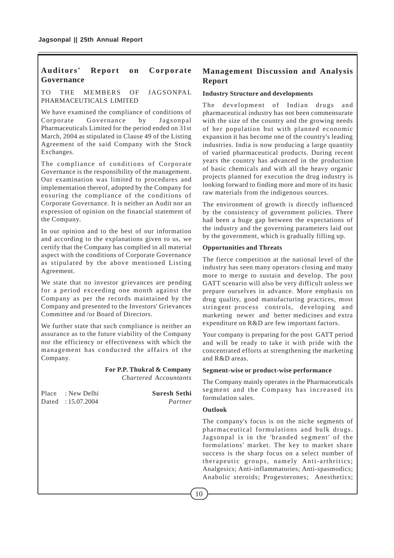## **Auditors' Report on Corporate Governance**

## TO THE MEMBERS OF JAGSONPAL PHARMACEUTICALS LIMITED

We have examined the compliance of conditions of Corporate Governance by Jagsonpal Pharmaceuticals Limited for the period ended on 31st March, 2004 as stipulated in Clause 49 of the Listing Agreement of the said Company with the Stock Exchanges.

The compliance of conditions of Corporate Governance is the responsibility of the management. Our examination was limited to procedures and implementation thereof, adopted by the Company for ensuring the compliance of the conditions of Corporate Governance. It is neither an Audit nor an expression of opinion on the financial statement of the Company.

In our opinion and to the best of our information and according to the explanations given to us, we certify that the Company has complied in all material aspect with the conditions of Corporate Governance as stipulated by the above mentioned Listing Agreement.

We state that no investor grievances are pending for a period exceeding one month against the Company as per the records maintained by the Company and presented to the Investors' Grievances Committee and /or Board of Directors.

We further state that such compliance is neither an assurance as to the future viability of the Company nor the efficiency or effectiveness with which the management has conducted the affairs of the Company.

#### **For P.P. Thukral & Company** *Chartered Accountants*

Place : New Delhi **Suresh Sethi** Dated : 15.07.2004 *Partner*

## **Management Discussion and Analysis Report**

## **Industry Structure and developments**

The development of Indian drugs and pharmaceutical industry has not been commensurate with the size of the country and the growing needs of her population but with planned economic expansion it has become one of the country's leading industries. India is now producing a large quantity of varied pharmaceutical products. During recent years the country has advanced in the production of basic chemicals and with all the heavy organic projects planned for execution the drug industry is looking forward to finding more and more of its basic raw materials from the indigenous sources.

The environment of growth is directly influenced by the consistency of government policies. There had been a huge gap between the expectations of the industry and the governing parameters laid out by the government, which is gradually filling up.

## **Opportunities and Threats**

The fierce competition at the national level of the industry has seen many operators closing and many more to merge to sustain and develop. The post GATT scenario will also be very difficult unless we prepare ourselves in advance. More emphasis on drug quality, good manufacturing practices, most stringent process controls, developing and marketing newer and better medicines and extra expenditure on R&D are few important factors.

Your company is preparing for the post GATT period and will be ready to take it with pride with the concentrated efforts at strengthening the marketing and R&D areas.

## **Segment-wise or product-wise performance**

The Company mainly operates in the Pharmaceuticals segment and the Company has increased its formulation sales.

## **Outlook**

The company's focus is on the niche segments of pharmaceutical formulations and bulk drugs. Jagsonpal is in the 'branded segment' of the formulations' market. The key to market share success is the sharp focus on a select number of therapeutic groups, namely Anti-arthritics; Analgesics; Anti-inflammatories; Anti-spasmodics; Anabolic steroids; Progesterones; Anesthetics;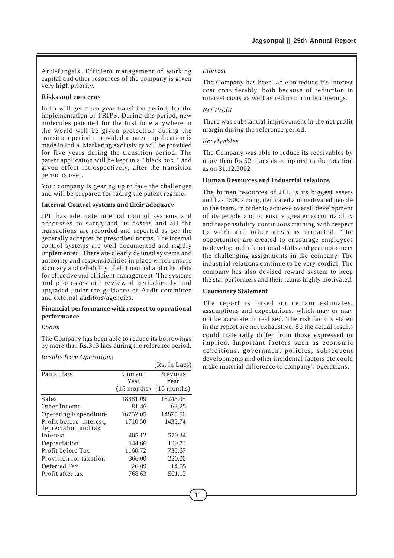Anti-fungals. Efficient management of working capital and other resources of the company is given very high priority.

## **Risks and concerns**

India will get a ten-year transition period, for the implementation of TRIPS. During this period, new molecules patented for the first time anywhere in the world will be given protection during the transition period ; provided a patent application is made in India. Marketing exclusivity will be provided for five years during the transition period. The patent application will be kept in a " black box " and given effect retrospectively, after the transition period is over.

Your company is gearing up to face the challenges and will be prepared for facing the patent regime.

#### **Internal Control systems and their adequacy**

JPL has adequate internal control systems and processes to safeguard its assets and all the transactions are recorded and reported as per the generally accepted or prescribed norms. The internal control systems are well documented and rigidly implemented. There are clearly defined systems and authority and responsibilities in place which ensure accuracy and reliability of all financial and other data for effective and efficient management. The systems and processes are reviewed periodically and upgraded under the guidance of Audit committee and external auditors/agencies.

#### **Financial performance with respect to operational performance**

#### *Loans*

The Company has been able to reduce its borrowings by more than Rs.313 lacs during the reference period.

*Results from Operations*

|                                                 |               | (Rs. In Lacs) |
|-------------------------------------------------|---------------|---------------|
| Particulars                                     | Current       | Previous      |
|                                                 | Year          | Year          |
|                                                 | $(15$ months) | $(15$ months) |
| Sales                                           | 18381.09      | 16248.05      |
| Other Income                                    | 81.46         | 63.25         |
| <b>Operating Expenditure</b>                    | 16752.05      | 14875.56      |
| Profit before interest,<br>depreciation and tax | 1710.50       | 1435.74       |
| Interest                                        | 405.12        | 570.34        |
| Depreciation                                    | 144.66        | 129.73        |
| Profit before Tax                               | 1160.72       | 735.67        |
| Provision for taxation                          | 366.00        | 220.00        |
| Deferred Tax                                    | 26.09         | 14.55         |
| Profit after tax                                | 768.63        | 501.12        |

### *Interest*

The Company has been able to reduce it's interest cost considerably, both because of reduction in interest costs as well as reduction in borrowings.

## *Net Profit*

There was substantial improvement in the net profit margin during the reference period.

#### *Receivables*

The Company was able to reduce its receivables by more than Rs.521 lacs as compared to the position as on 31.12.2002

## **Human Resources and Industrial relations**

The human resources of JPL is its biggest assets and has 1500 strong, dedicated and motivated people in the team. In order to achieve overall development of its people and to ensure greater accountability and responsibility continuous training with respect to work and other areas is imparted. The opportunites are created to encourage employees to develop multi functional skills and gear upto meet the challenging assignments in the company. The industrial relations continue to be very cordial. The company has also devised reward system to keep the star performers and their teams highly motivated.

#### **Cautionary Statement**

The report is based on certain estimates. assumptions and expectations, which may or may not be accurate or realised. The risk factors stated in the report are not exhaustive. So the actual results could materially differ from those expressed or implied. Important factors such as economic conditions, government policies, subsequent developments and other incidental factors etc could make material difference to company's operations.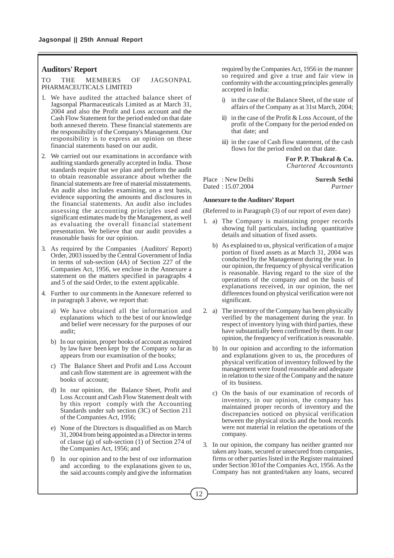#### **Auditors' Report**

TO THE MEMBERS OF JAGSONPAL PHARMACEUTICALS LIMITED

- 1. We have audited the attached balance sheet of Jagsonpal Pharmaceuticals Limited as at March 31, 2004 and also the Profit and Loss account and the Cash Flow Statement for the period ended on that date both annexed thereto. These financial statements are the responsibility of the Company's Management. Our responsibility is to express an opinion on these financial statements based on our audit.
- 2. We carried out our examinations in accordance with auditing standards generally accepted in India. Those standards require that we plan and perform the audit to obtain reasonable assurance about whether the financial statements are free of material misstatements. An audit also includes examining, on a test basis, evidence supporting the amounts and disclosures in the financial statements. An audit also includes assessing the accounting principles used and significant estimates made by the Management, as well as evaluating the overall financial statement presentation. We believe that our audit provides a reasonable basis for our opinion.
- 3. As required by the Companies (Auditors' Report) Order, 2003 issued by the Central Government of India in terms of sub-section (4A) of Section 227 of the Companies Act, 1956, we enclose in the Annexure a statement on the matters specified in paragraphs 4 and 5 of the said Order, to the extent applicable.
- 4. Further to our comments in the Annexure referred to in paragraph 3 above, we report that:
	- a) We have obtained all the information and explanations which to the best of our knowledge and belief were necessary for the purposes of our audit;
	- b) In our opinion, proper books of account as required by law have been kept by the Company so far as appears from our examination of the books;
	- c) The Balance Sheet and Profit and Loss Account and cash flow statement are in agreement with the books of account;
	- d) In our opinion, the Balance Sheet, Profit and Loss Account and Cash Flow Statement dealt with by this report comply with the Accounting Standards under sub section (3C) of Section 211 of the Companies Act, 1956;
	- e) None of the Directors is disqualified as on March 31, 2004 from being appointed as a Director in terms of clause (g) of sub-section (1) of Section 274 of the Companies Act, 1956; and
	- f) In our opinion and to the best of our information and according to the explanations given to us, the said accounts comply and give the information

required by the Companies Act, 1956 in the manner so required and give a true and fair view in conformity with the accounting principles generally accepted in India:

- i) in the case of the Balance Sheet, of the state of affairs of the Company as at 31st March, 2004;
- ii) in the case of the Profit & Loss Account, of the profit of the Company for the period ended on that date; and
- iii) in the case of Cash flow statement, of the cash flows for the period ended on that date.

**For P. P. Thukral & Co.** *Chartered Accountants*

Place : New Delhi **Suresh Sethi** Dated : 15.07.2004 *Partner*

## **Annexure to the Auditors' Report**

(Referred to in Paragraph (3) of our report of even date)

- 1. a) The Company is maintaining proper records showing full particulars, including quantitative details and situation of fixed assets.
	- b) As explained to us, physical verification of a major portion of fixed assets as at March 31, 2004 was conducted by the Management during the year. In our opinion, the frequency of physical verification is reasonable. Having regard to the size of the operations of the company and on the basis of explanations received, in our opinion, the net differences found on physical verification were not significant.
- 2. a) The inventory of the Company has been physically verified by the management during the year. In respect of inventory lying with third parties, these have substantially been confirmed by them. In our opinion, the frequency of verification is reasonable.
	- b) In our opinion and according to the information and explanations given to us, the procedures of physical verification of inventory followed by the management were found reasonable and adequate in relation to the size of the Company and the nature of its business.
	- c) On the basis of our examination of records of inventory, in our opinion, the company has maintained proper records of inventory and the discrepancies noticed on physical verification between the physical stocks and the book records were not material in relation the operations of the company.
- 3. In our opinion, the company has neither granted nor taken any loans, secured or unsecured from companies, firms or other parties listed in the Register maintained under Section 301of the Companies Act, 1956. As the Company has not granted/taken any loans, secured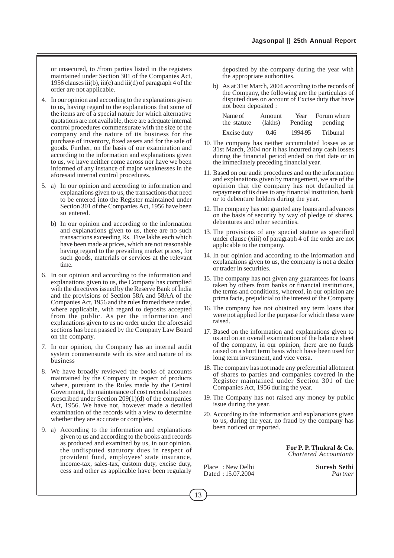or unsecured, to /from parties listed in the registers maintained under Section 301 of the Companies Act, 1956 clauses iii(b), iii(c) and iii(d) of paragraph 4 of the order are not applicable.

- 4. In our opinion and according to the explanations given to us, having regard to the explanations that some of the items are of a special nature for which alternative quotations are not available, there are adequate internal control procedures commensurate with the size of the company and the nature of its business for the purchase of inventory, fixed assets and for the sale of goods. Further, on the basis of our examination and according to the information and explanations given to us, we have neither come across nor have we been informed of any instance of major weaknesses in the aforesaid internal control procedures.
- 5. a) In our opinion and according to information and explanations given to us, the transactions that need to be entered into the Register maintained under Section 301 of the Companies Act, 1956 have been so entered.
	- b) In our opinion and according to the information and explanations given to us, there are no such transactions exceeding Rs. Five lakhs each which have been made at prices, which are not reasonable having regard to the prevailing market prices, for such goods, materials or services at the relevant time.
- 6. In our opinion and according to the information and explanations given to us, the Company has complied with the directives issued by the Reserve Bank of India and the provisions of Section 58A and 58AA of the Companies Act, 1956 and the rules framed there under, where applicable, with regard to deposits accepted from the public. As per the information and explanations given to us no order under the aforesaid sections has been passed by the Company Law Board on the company.
- 7. In our opinion, the Company has an internal audit system commensurate with its size and nature of its business
- 8. We have broadly reviewed the books of accounts maintained by the Company in respect of products where, pursuant to the Rules made by the Central Government, the maintenance of cost records has been prescribed under Section 209(1)(d) of the companies Act, 1956. We have not, however made a detailed examination of the records with a view to determine whether they are accurate or complete.
- 9. a) According to the information and explanations given to us and according to the books and records as produced and examined by us, in our opinion, the undisputed statutory dues in respect of provident fund, employees' state insurance, income-tax, sales-tax, custom duty, excise duty, cess and other as applicable have been regularly

deposited by the company during the year with the appropriate authorities.

b) As at 31st March, 2004 according to the records of the Company, the following are the particulars of disputed dues on account of Excise duty that have not been deposited :

| Name of     | Amount  | Year    | Forum where |
|-------------|---------|---------|-------------|
| the statute | (lakhs) | Pending | pending     |
| Excise duty | 0.46    | 1994-95 | Tribunal    |

- 10. The company has neither accumulated losses as at 31st March, 2004 nor it has incurred any cash losses during the financial period ended on that date or in the immediately preceding financial year.
- 11. Based on our audit procedures and on the information and explanations given by management, we are of the opinion that the company has not defaulted in repayment of its dues to any financial institution, bank or to debenture holders during the year.
- 12. The company has not granted any loans and advances on the basis of security by way of pledge of shares, debentures and other securities.
- 13. The provisions of any special statute as specified under clause (xiii) of paragraph 4 of the order are not applicable to the company.
- 14. In our opinion and according to the information and explanations given to us, the company is not a dealer or trader in securities.
- 15. The company has not given any guarantees for loans taken by others from banks or financial institutions, the terms and conditions, whereof, in our opinion are prima facie, prejudicial to the interest of the Company
- 16. The company has not obtained any term loans that were not applied for the purpose for which these were raised.
- 17. Based on the information and explanations given to us and on an overall examination of the balance sheet of the company, in our opinion, there are no funds raised on a short term basis which have been used for long term investment, and vice versa.
- 18. The company has not made any preferential allotment of shares to parties and companies covered in the Register maintained under Section 301 of the Companies Act, 1956 during the year.
- 19. The Company has not raised any money by public issue during the year.
- 20. According to the information and explanations given to us, during the year, no fraud by the company has been noticed or reported.

**For P. P. Thukral & Co.**  *Chartered Accountants*

Place : New Delhi **Suresh Sethi**<br>Dated : 15.07.2004 *Partner* Dated : 15.07.2004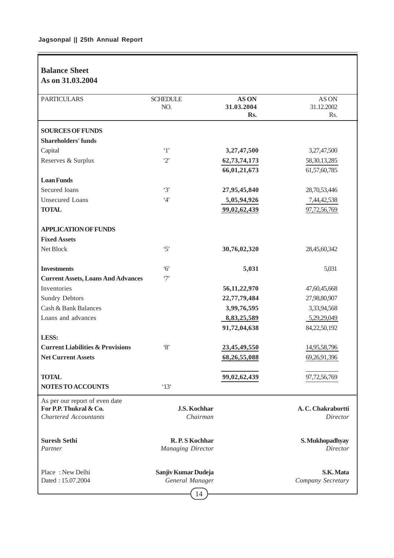## **Balance Sheet As on 31.03.2004**

| <b>PARTICULARS</b>                                                                       | <b>SCHEDULE</b><br>NO.                               | AS ON<br>31.03.2004<br>Rs. | AS ON<br>31.12.2002<br>Rs.     |
|------------------------------------------------------------------------------------------|------------------------------------------------------|----------------------------|--------------------------------|
| <b>SOURCES OF FUNDS</b>                                                                  |                                                      |                            |                                |
| <b>Shareholders' funds</b>                                                               |                                                      |                            |                                |
| Capital                                                                                  | $\cdot_1$                                            | 3,27,47,500                | 3,27,47,500                    |
| Reserves & Surplus                                                                       | $\cdot_2$                                            | 62,73,74,173               | 58, 30, 13, 285                |
|                                                                                          |                                                      | 66,01,21,673               | 61,57,60,785                   |
| <b>Loan Funds</b>                                                                        |                                                      |                            |                                |
| Secured loans                                                                            | $\cdot$ 3'                                           | 27,95,45,840               | 28,70,53,446                   |
| <b>Unsecured Loans</b>                                                                   | 4'                                                   | 5,05,94,926                | 7,44,42,538                    |
| <b>TOTAL</b>                                                                             |                                                      | 99,02,62,439               | 97,72,56,769                   |
| <b>APPLICATION OF FUNDS</b>                                                              |                                                      |                            |                                |
| <b>Fixed Assets</b>                                                                      |                                                      |                            |                                |
| Net Block                                                                                | $\cdot$ 5'                                           | 30,76,02,320               | 28,45,60,342                   |
| <b>Investments</b>                                                                       | $6^{\circ}$                                          | 5,031                      | 5,031                          |
| <b>Current Assets, Loans And Advances</b>                                                | $\cdot$ 7'                                           |                            |                                |
| Inventories                                                                              |                                                      | 56, 11, 22, 970            | 47,60,45,668                   |
| <b>Sundry Debtors</b>                                                                    |                                                      | 22,77,79,484               | 27,98,80,907                   |
| Cash & Bank Balances                                                                     |                                                      | 3,99,76,595                | 3,33,94,568                    |
| Loans and advances                                                                       |                                                      | 8,83,25,589                | 5,29,29,049                    |
|                                                                                          |                                                      | 91,72,04,638               | 84,22,50,192                   |
| LESS:                                                                                    |                                                      |                            |                                |
| <b>Current Liabilities &amp; Provisions</b>                                              | $\cdot_8$                                            | 23,45,49,550               | 14,95,58,796                   |
| <b>Net Current Assets</b>                                                                |                                                      | 68,26,55,088               | 69,26,91,396                   |
| <b>TOTAL</b>                                                                             |                                                      | 99,02,62,439               | 97,72,56,769                   |
| NOTES TO ACCOUNTS                                                                        | $^{\circ}13^{\circ}$                                 |                            |                                |
| As per our report of even date<br>For P.P. Thukral & Co.<br><b>Chartered Accountants</b> | <b>J.S. Kochhar</b><br>Chairman                      |                            | A.C. Chakrabortti<br>Director  |
| <b>Suresh Sethi</b><br>Partner                                                           | R.P.S Kochhar<br><b>Managing Director</b>            |                            | S. Mukhopadhyay<br>Director    |
| Place: New Delhi<br>Dated: 15.07.2004                                                    | Sanjiv Kumar Dudeja<br>General Manager<br>$\sqrt{2}$ |                            | S.K. Mata<br>Company Secretary |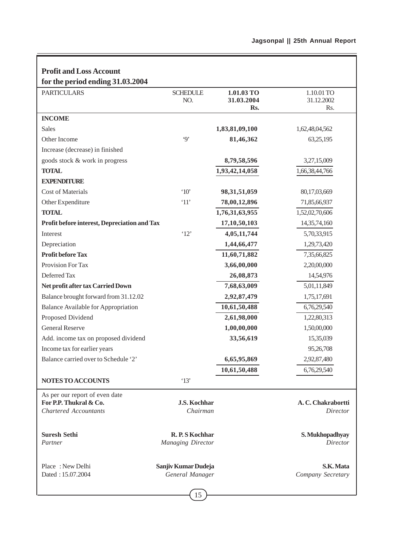| <b>Profit and Loss Account</b>                         |                                 |                          |                                |
|--------------------------------------------------------|---------------------------------|--------------------------|--------------------------------|
| for the period ending 31.03.2004                       |                                 |                          |                                |
| <b>PARTICULARS</b>                                     | <b>SCHEDULE</b><br>NO.          | 1.01.03 TO<br>31.03.2004 | 1.10.01 TO<br>31.12.2002       |
|                                                        |                                 | Rs.                      | Rs.                            |
| <b>INCOME</b>                                          |                                 |                          |                                |
| <b>Sales</b>                                           |                                 | 1,83,81,09,100           | 1,62,48,04,562                 |
| Other Income                                           | $\cdot$ 9'                      | 81,46,362                | 63,25,195                      |
| Increase (decrease) in finished                        |                                 |                          |                                |
| goods stock & work in progress                         |                                 | 8,79,58,596              | 3,27,15,009                    |
| <b>TOTAL</b>                                           |                                 | 1,93,42,14,058           | 1,66,38,44,766                 |
| <b>EXPENDITURE</b>                                     |                                 |                          |                                |
| <b>Cost of Materials</b>                               | $^{\circ}10^{\circ}$            | 98, 31, 51, 059          | 80,17,03,669                   |
| Other Expenditure                                      | `11'                            | 78,00,12,896             | 71,85,66,937                   |
| <b>TOTAL</b>                                           |                                 | 1,76,31,63,955           | 1,52,02,70,606                 |
| Profit before interest, Depreciation and Tax           |                                 | 17,10,50,103             | 14, 35, 74, 160                |
| Interest                                               | '12'                            | 4,05,11,744              | 5,70,33,915                    |
| Depreciation                                           |                                 | 1,44,66,477              | 1,29,73,420                    |
| <b>Profit before Tax</b>                               |                                 | 11,60,71,882             | 7,35,66,825                    |
| Provision For Tax                                      |                                 | 3,66,00,000              | 2,20,00,000                    |
| Deferred Tax                                           |                                 | 26,08,873                | 14,54,976                      |
| Net profit after tax Carried Down                      |                                 | 7,68,63,009              | 5,01,11,849                    |
| Balance brought forward from 31.12.02                  |                                 | 2,92,87,479              | 1,75,17,691                    |
| <b>Balance Available for Appropriation</b>             |                                 | 10,61,50,488             | 6,76,29,540                    |
| Proposed Dividend                                      |                                 | 2,61,98,000              | 1,22,80,313                    |
| <b>General Reserve</b>                                 |                                 | 1,00,00,000              | 1,50,00,000                    |
| Add. income tax on proposed dividend                   |                                 | 33,56,619                | 15,35,039                      |
| Income tax for earlier years                           |                                 |                          | 95,26,708                      |
| Balance carried over to Schedule '2'                   |                                 | 6,65,95,869              | 2,92,87,480                    |
|                                                        |                                 | 10,61,50,488             | 6,76,29,540                    |
| NOTES TO ACCOUNTS                                      | '13'                            |                          |                                |
| As per our report of even date                         |                                 |                          |                                |
| For P.P. Thukral & Co.<br><b>Chartered Accountants</b> | <b>J.S. Kochhar</b><br>Chairman |                          | A. C. Chakrabortti<br>Director |
|                                                        |                                 |                          |                                |
| <b>Suresh Sethi</b>                                    | R.P.S Kochhar                   |                          | S. Mukhopadhyay                |
| Partner                                                | <b>Managing Director</b>        |                          | Director                       |
| Place: New Delhi                                       | Sanjiv Kumar Dudeja             |                          | S.K. Mata                      |
| Dated: 15.07.2004                                      | General Manager                 |                          | Company Secretary              |
|                                                        | 15                              |                          |                                |

J,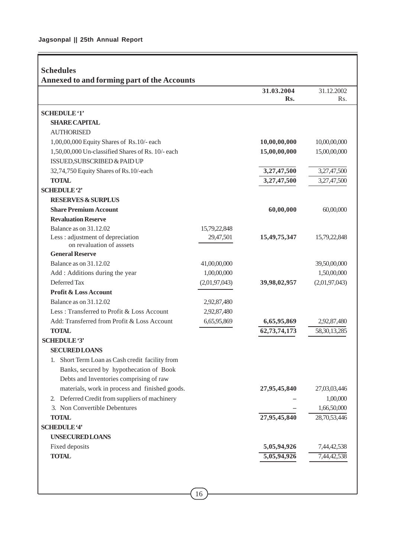Ē

|                                                                |               | 31.03.2004   | 31.12.2002       |
|----------------------------------------------------------------|---------------|--------------|------------------|
|                                                                |               | Rs.          | R <sub>s</sub> . |
| <b>SCHEDULE '1'</b>                                            |               |              |                  |
| <b>SHARE CAPITAL</b>                                           |               |              |                  |
| <b>AUTHORISED</b>                                              |               |              |                  |
| 1,00,00,000 Equity Shares of Rs.10/- each                      |               | 10,00,00,000 | 10,00,00,000     |
| 1,50,00,000 Un-classified Shares of Rs. 10/- each              |               | 15,00,00,000 | 15,00,00,000     |
| ISSUED, SUBSCRIBED & PAID UP                                   |               |              |                  |
| 32,74,750 Equity Shares of Rs.10/-each                         |               | 3,27,47,500  | 3,27,47,500      |
| <b>TOTAL</b>                                                   |               | 3,27,47,500  | 3,27,47,500      |
| <b>SCHEDULE '2'</b>                                            |               |              |                  |
| <b>RESERVES &amp; SURPLUS</b>                                  |               |              |                  |
| <b>Share Premium Account</b>                                   |               | 60,00,000    | 60,00,000        |
| <b>Revaluation Reserve</b>                                     |               |              |                  |
| Balance as on 31.12.02                                         | 15,79,22,848  |              |                  |
| Less : adjustment of depreciation<br>on revaluation of asssets | 29,47,501     | 15,49,75,347 | 15,79,22,848     |
| <b>General Reserve</b>                                         |               |              |                  |
| Balance as on 31.12.02                                         | 41,00,00,000  |              | 39,50,00,000     |
| Add : Additions during the year                                | 1,00,00,000   |              | 1,50,00,000      |
| Deferred Tax                                                   | (2,01,97,043) | 39,98,02,957 | (2,01,97,043)    |
| <b>Profit &amp; Loss Account</b>                               |               |              |                  |
| Balance as on 31.12.02                                         | 2,92,87,480   |              |                  |
| Less: Transferred to Profit & Loss Account                     | 2,92,87,480   |              |                  |
| Add: Transferred from Profit & Loss Account                    | 6,65,95,869   | 6,65,95,869  | 2,92,87,480      |
| <b>TOTAL</b>                                                   |               | 62,73,74,173 | 58, 30, 13, 285  |
| <b>SCHEDULE '3'</b>                                            |               |              |                  |
| <b>SECURED LOANS</b>                                           |               |              |                  |
| 1. Short Term Loan as Cash credit facility from                |               |              |                  |
| Banks, secured by hypothecation of Book                        |               |              |                  |
| Debts and Inventories comprising of raw                        |               |              |                  |
| materials, work in process and finished goods.                 |               | 27,95,45,840 | 27,03,03,446     |
| 2. Deferred Credit from suppliers of machinery                 |               |              | 1,00,000         |
| 3. Non Convertible Debentures                                  |               |              | 1,66,50,000      |
| <b>TOTAL</b>                                                   |               | 27,95,45,840 | 28,70,53,446     |
| <b>SCHEDULE '4'</b>                                            |               |              |                  |
| <b>UNSECURED LOANS</b>                                         |               |              |                  |
| Fixed deposits                                                 |               | 5,05,94,926  | 7,44,42,538      |
| <b>TOTAL</b>                                                   |               | 5,05,94,926  | 7,44,42,538      |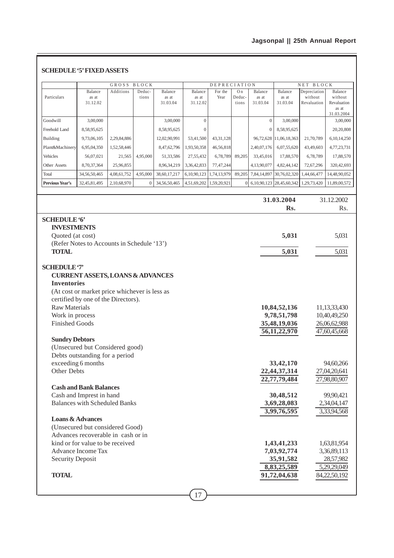## **Jagsonpal || 25th Annual Report**

|                                       | Balance                                       | GROSS<br>Additions | BLOCK<br>Deduc- | Balance      | Balance                 | <b>DEPRECIATION</b><br>For the | O <sub>n</sub> | Balance          | Balance                        | NET BLOCK<br>Depreciation | Balance                      |
|---------------------------------------|-----------------------------------------------|--------------------|-----------------|--------------|-------------------------|--------------------------------|----------------|------------------|--------------------------------|---------------------------|------------------------------|
| Particulars                           | as at                                         |                    | tions           | as at        | as at                   | Year                           | Deduc-         | as at            | as at                          | without                   | without                      |
|                                       | 31.12.02                                      |                    |                 | 31.03.04     | 31.12.02                |                                | tions          | 31.03.04         | 31.03.04                       | Revaluation               | Revaluation<br>as at         |
|                                       |                                               |                    |                 |              |                         |                                |                |                  |                                |                           | 31.03.2004                   |
| Goodwill                              | 3,00,000                                      |                    |                 | 3,00,000     | $\mathbf{0}$            |                                |                | $\mathbf{0}$     | 3,00,000                       |                           | 3,00,000                     |
| Freehold Land                         | 8,58,95,625                                   |                    |                 | 8,58,95,625  | $\Omega$                |                                |                | $\boldsymbol{0}$ | 8,58,95,625                    |                           | 20,20,808                    |
| Building                              | 9,73,06,105                                   | 2,29,84,886        |                 | 12,02,90,991 | 53,41,500               | 43, 31, 128                    |                |                  | 96,72,628 11,06,18,363         | 21,70,789                 | 6,10,14,250                  |
| Plant&Machinery                       | 6,95,04,350                                   | 1,52,58,446        |                 | 8,47,62,796  | 1,93,50,358             | 46,56,818                      |                | 2,40,07,176      | 6,07,55,620                    | 43,49,603                 | 4,77,23,731                  |
| Vehicles                              | 56,07,021                                     | 21,565             | 4,95,000        | 51,33,586    | 27,55,432               | 6,78,789                       | 89,205         | 33,45,016        | 17,88,570                      | 6,78,789                  | 17,88,570                    |
| Other Assets                          | 8,70,37,364                                   | 25,96,855          |                 | 8,96,34,219  | 3,36,42,833             | 77,47,244                      |                | 4,13,90,077      | 4,82,44,142                    | 72,67,296                 | 320,42,693                   |
| Total                                 | 34,56,50,465                                  | 4,08,61,752        | 4,95,000        | 38,60,17,217 | 6,10,90,123             | 1,74,13,979                    | 89,205         |                  | 7,84,14,897 30,76,02,320       | 1,44,66,477               | 14,48,90,052                 |
| <b>Previous Year's</b>                | 32,45,81,495                                  | 2,10,68,970        | $\mathbf{0}$    | 34,56,50,465 | 4,51,69,202 1,59,20,921 |                                | $\Omega$       |                  | 6, 10, 90, 123 28, 45, 60, 342 | 1,29,73,420               | 11,89,00,572                 |
|                                       |                                               |                    |                 |              |                         |                                |                |                  |                                |                           |                              |
|                                       |                                               |                    |                 |              |                         |                                |                |                  | 31.03.2004                     |                           | 31.12.2002                   |
|                                       |                                               |                    |                 |              |                         |                                |                |                  | Rs.                            |                           | Rs.                          |
| <b>SCHEDULE '6'</b>                   |                                               |                    |                 |              |                         |                                |                |                  |                                |                           |                              |
| <b>INVESTMENTS</b>                    |                                               |                    |                 |              |                         |                                |                |                  |                                |                           |                              |
| Quoted (at cost)                      |                                               |                    |                 |              |                         |                                |                |                  | 5,031                          |                           | 5,031                        |
|                                       | (Refer Notes to Accounts in Schedule '13')    |                    |                 |              |                         |                                |                |                  |                                |                           |                              |
| <b>TOTAL</b>                          |                                               |                    |                 |              |                         |                                |                |                  | 5,031                          |                           | 5,031                        |
|                                       |                                               |                    |                 |              |                         |                                |                |                  |                                |                           |                              |
| <b>SCHEDULE '7'</b>                   |                                               |                    |                 |              |                         |                                |                |                  |                                |                           |                              |
|                                       | <b>CURRENT ASSETS, LOANS &amp; ADVANCES</b>   |                    |                 |              |                         |                                |                |                  |                                |                           |                              |
| <b>Inventories</b>                    |                                               |                    |                 |              |                         |                                |                |                  |                                |                           |                              |
|                                       | (At cost or market price whichever is less as |                    |                 |              |                         |                                |                |                  |                                |                           |                              |
|                                       | certified by one of the Directors).           |                    |                 |              |                         |                                |                |                  |                                |                           |                              |
| <b>Raw Materials</b>                  |                                               |                    |                 |              |                         |                                |                |                  |                                |                           |                              |
|                                       | Work in process                               |                    |                 |              |                         |                                |                |                  | 10,84,52,136                   |                           | 11,13,33,430                 |
| <b>Finished Goods</b><br>35,48,19,036 |                                               |                    |                 |              |                         |                                |                |                  | 9,78,51,798                    |                           | 10,40,49,250                 |
|                                       |                                               |                    |                 |              |                         |                                |                |                  |                                |                           | 26,06,62,988                 |
|                                       |                                               |                    |                 |              |                         |                                |                |                  | 56, 11, 22, 970                |                           | 47,60,45,668                 |
| <b>Sundry Debtors</b>                 |                                               |                    |                 |              |                         |                                |                |                  |                                |                           |                              |
|                                       | (Unsecured but Considered good)               |                    |                 |              |                         |                                |                |                  |                                |                           |                              |
|                                       | Debts outstanding for a period                |                    |                 |              |                         |                                |                |                  |                                |                           |                              |
| Other Debts                           | exceeding 6 months                            |                    |                 |              |                         |                                |                |                  | 33,42,170                      |                           | 94,60,266                    |
|                                       |                                               |                    |                 |              |                         |                                |                |                  | 22,44,37,314<br>22,77,79,484   |                           | 27,04,20,641<br>27,98,80,907 |
|                                       | <b>Cash and Bank Balances</b>                 |                    |                 |              |                         |                                |                |                  |                                |                           |                              |
|                                       | Cash and Imprest in hand                      |                    |                 |              |                         |                                |                |                  | 30,48,512                      |                           | 99,90,421                    |
|                                       | <b>Balances with Scheduled Banks</b>          |                    |                 |              |                         |                                |                |                  | 3,69,28,083                    |                           | 2,34,04,147                  |
|                                       |                                               |                    |                 |              |                         |                                |                |                  | 3,99,76,595                    |                           | 3,33,94,568                  |
| <b>Loans &amp; Advances</b>           |                                               |                    |                 |              |                         |                                |                |                  |                                |                           |                              |
|                                       | (Unsecured but considered Good)               |                    |                 |              |                         |                                |                |                  |                                |                           |                              |
|                                       | Advances recoverable in cash or in            |                    |                 |              |                         |                                |                |                  |                                |                           |                              |
|                                       | kind or for value to be received              |                    |                 |              |                         |                                |                |                  | 1,43,41,233                    |                           | 1,63,81,954                  |
|                                       | Advance Income Tax                            |                    |                 |              |                         |                                |                |                  | 7,03,92,774                    |                           | 3,36,89,113                  |
| <b>Security Deposit</b>               |                                               |                    |                 |              |                         |                                |                |                  | 35,91,582                      |                           | 28,57,982                    |
| <b>TOTAL</b>                          |                                               |                    |                 |              |                         |                                |                |                  | 8,83,25,589<br>91,72,04,638    |                           | 5,29,29,049<br>84,22,50,192  |

## $\boxed{17}$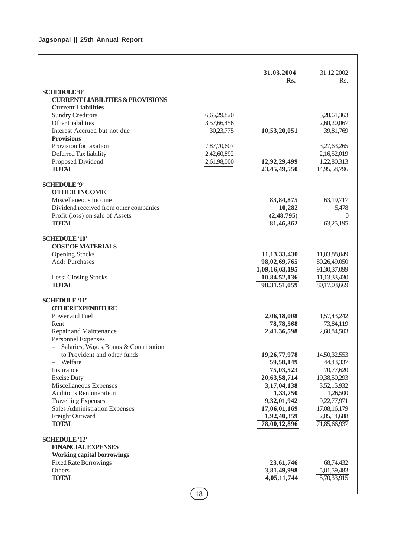|                                                                    |             | 31.03.2004      | 31.12.2002      |
|--------------------------------------------------------------------|-------------|-----------------|-----------------|
|                                                                    |             | Rs.             | Rs.             |
| <b>SCHEDULE '8'</b>                                                |             |                 |                 |
| <b>CURRENT LIABILITIES &amp; PROVISIONS</b>                        |             |                 |                 |
| <b>Current Liabilities</b>                                         |             |                 |                 |
| <b>Sundry Creditors</b>                                            | 6,65,29,820 |                 | 5,28,61,363     |
| Other Liabilities                                                  | 3,57,66,456 |                 | 2,60,20,067     |
| Interest Accrued but not due                                       | 30,23,775   | 10,53,20,051    | 39,81,769       |
| <b>Provisions</b>                                                  |             |                 |                 |
| Provision for taxation                                             | 7,87,70,607 |                 | 3,27,63,265     |
| Deferred Tax liability                                             | 2,42,60,892 |                 | 2,16,52,019     |
| Proposed Dividend                                                  | 2,61,98,000 | 12,92,29,499    | 1,22,80,313     |
| <b>TOTAL</b>                                                       |             | 23,45,49,550    | 14,95,58,796    |
| <b>SCHEDULE '9'</b>                                                |             |                 |                 |
| <b>OTHER INCOME</b>                                                |             |                 |                 |
| Miscellaneous Income                                               |             | 83, 84, 875     | 63, 19, 717     |
| Dividend received from other companies                             |             | 10,282          | 5,478           |
| Profit (loss) on sale of Assets                                    |             | (2,48,795)      | 0               |
| <b>TOTAL</b>                                                       |             | 81,46,362       | 63,25,195       |
|                                                                    |             |                 |                 |
| <b>SCHEDULE '10'</b>                                               |             |                 |                 |
| <b>COST OF MATERIALS</b>                                           |             |                 |                 |
| <b>Opening Stocks</b>                                              |             | 11,13,33,430    | 11,03,88,049    |
| Add: Purchases                                                     |             | 98,02,69,765    | 80,26,49,050    |
|                                                                    |             | 1,09,16,03,195  | 91, 30, 37, 099 |
| Less: Closing Stocks                                               |             | 10,84,52,136    | 11,13,33,430    |
| <b>TOTAL</b>                                                       |             | 98, 31, 51, 059 | 80,17,03,669    |
|                                                                    |             |                 |                 |
| <b>SCHEDULE '11'</b>                                               |             |                 |                 |
| <b>OTHER EXPENDITURE</b>                                           |             |                 |                 |
| Power and Fuel                                                     |             | 2,06,18,008     | 1,57,43,242     |
| Rent                                                               |             | 78,78,568       | 73,84,119       |
| Repair and Maintenance                                             |             | 2,41,36,598     | 2,60,84,503     |
| <b>Personnel Expenses</b><br>Salaries, Wages, Bonus & Contribution |             |                 |                 |
| to Provident and other funds                                       |             | 19,26,77,978    | 14,50,32,553    |
| Welfare                                                            |             | 59,58,149       | 44, 43, 337     |
| Insurance                                                          |             | 75,03,523       | 70,77,620       |
| <b>Excise Duty</b>                                                 |             | 20,63,58,714    | 19,38,50,293    |
| Miscellaneous Expenses                                             |             | 3,17,04,138     | 3,52,15,932     |
| <b>Auditor's Remuneration</b>                                      |             | 1,33,750        | 1,26,500        |
| <b>Travelling Expenses</b>                                         |             | 9,32,01,942     | 9,22,77,971     |
| <b>Sales Administration Expenses</b>                               |             | 17,06,01,169    | 17,08,16,179    |
| Freight Outward                                                    |             | 1,92,40,359     | 2,05,14,688     |
| <b>TOTAL</b>                                                       |             | 78,00,12,896    | 71,85,66,937    |
|                                                                    |             |                 |                 |
| <b>SCHEDULE '12'</b>                                               |             |                 |                 |
| <b>FINANCIAL EXPENSES</b>                                          |             |                 |                 |
| <b>Working capital borrowings</b>                                  |             |                 |                 |
| <b>Fixed Rate Borrowings</b>                                       |             | 23,61,746       | 68,74,432       |
| Others                                                             |             | 3,81,49,998     | 5,01,59,483     |
| <b>TOTAL</b>                                                       |             | 4,05,11,744     | 5,70,33,915     |
|                                                                    |             |                 |                 |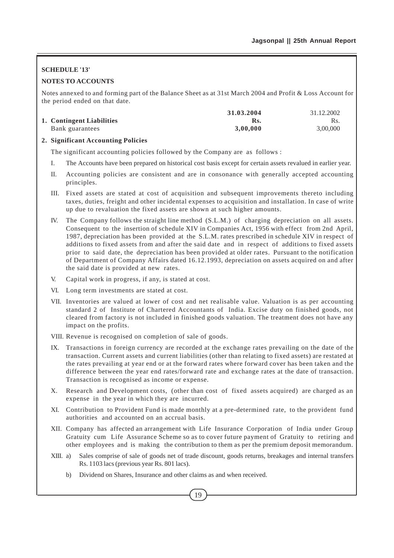## **SCHEDULE '13'**

## **NOTES TO ACCOUNTS**

Notes annexed to and forming part of the Balance Sheet as at 31st March 2004 and Profit & Loss Account for the period ended on that date.

|                           | 31.03.2004 | 31.12.2002 |
|---------------------------|------------|------------|
| 1. Contingent Liabilities | Rs.        | Rs.        |
| Bank guarantees           | 3.00.000   | 3,00,000   |

## **2. Significant Accounting Policies**

The significant accounting policies followed by the Company are as follows :

- I. The Accounts have been prepared on historical cost basis except for certain assets revalued in earlier year.
- II. Accounting policies are consistent and are in consonance with generally accepted accounting principles.
- III. Fixed assets are stated at cost of acquisition and subsequent improvements thereto including taxes, duties, freight and other incidental expenses to acquisition and installation. In case of write up due to revaluation the fixed assets are shown at such higher amounts.
- IV. The Company follows the straight line method (S.L.M.) of charging depreciation on all assets. Consequent to the insertion of schedule XIV in Companies Act, 1956 with effect from 2nd April, 1987, depreciation has been provided at the S.L.M. rates prescribed in schedule XIV in respect of additions to fixed assets from and after the said date and in respect of additions to fixed assets prior to said date, the depreciation has been provided at older rates. Pursuant to the notification of Department of Company Affairs dated 16.12.1993, depreciation on assets acquired on and after the said date is provided at new rates.
- V. Capital work in progress, if any, is stated at cost.
- VI. Long term investments are stated at cost.
- VII. Inventories are valued at lower of cost and net realisable value. Valuation is as per accounting standard 2 of Institute of Chartered Accountants of India. Excise duty on finished goods, not cleared from factory is not included in finished goods valuation. The treatment does not have any impact on the profits.
- VIII. Revenue is recognised on completion of sale of goods.
- IX. Transactions in foreign currency are recorded at the exchange rates prevailing on the date of the transaction. Current assets and current liabilities (other than relating to fixed assets) are restated at the rates prevailing at year end or at the forward rates where forward cover has been taken and the difference between the year end rates/forward rate and exchange rates at the date of transaction. Transaction is recognised as income or expense.
- X. Research and Development costs, (other than cost of fixed assets acquired) are charged as an expense in the year in which they are incurred.
- XI. Contribution to Provident Fund is made monthly at a pre-determined rate, to the provident fund authorities and accounted on an accrual basis.
- XII. Company has affected an arrangement with Life Insurance Corporation of India under Group Gratuity cum Life Assurance Scheme so as to cover future payment of Gratuity to retiring and other employees and is making the contribution to them as per the premium deposit memorandum.
- XIII. a) Sales comprise of sale of goods net of trade discount, goods returns, breakages and internal transfers Rs. 1103 lacs (previous year Rs. 801 lacs).
	- b) Dividend on Shares, Insurance and other claims as and when received.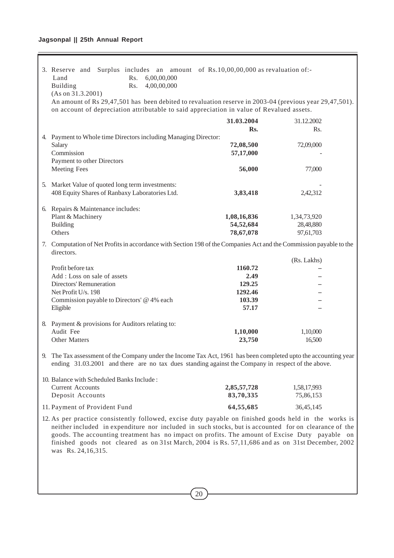## **Jagsonpal || 25th Annual Report**

Ē

| 3. Reserve and Surplus includes an amount of Rs.10,00,00,000 as revaluation of:-<br>Rs.<br>6,00,00,000<br>Land<br>4,00,00,000<br>Building<br>Rs.<br>(As on 31.3.2001)<br>An amount of Rs 29,47,501 has been debited to revaluation reserve in 2003-04 (previous year 29,47,501).                                                                                                                                                             |                                                         |                                       |
|----------------------------------------------------------------------------------------------------------------------------------------------------------------------------------------------------------------------------------------------------------------------------------------------------------------------------------------------------------------------------------------------------------------------------------------------|---------------------------------------------------------|---------------------------------------|
| on account of depreciation attributable to said appreciation in value of Revalued assets.                                                                                                                                                                                                                                                                                                                                                    |                                                         |                                       |
|                                                                                                                                                                                                                                                                                                                                                                                                                                              | 31.03.2004<br>Rs.                                       | 31.12.2002<br>Rs.                     |
| 4. Payment to Whole time Directors including Managing Director:<br>Salary<br>Commission<br>Payment to other Directors                                                                                                                                                                                                                                                                                                                        | 72,08,500<br>57,17,000                                  | 72,09,000                             |
| <b>Meeting Fees</b>                                                                                                                                                                                                                                                                                                                                                                                                                          | 56,000                                                  | 77,000                                |
| 5. Market Value of quoted long term investments:<br>408 Equity Shares of Ranbaxy Laboratories Ltd.                                                                                                                                                                                                                                                                                                                                           | 3,83,418                                                | 2,42,312                              |
| 6. Repairs & Maintenance includes:<br>Plant & Machinery<br><b>Building</b><br>Others                                                                                                                                                                                                                                                                                                                                                         | 1,08,16,836<br>54,52,684<br>78,67,078                   | 1,34,73,920<br>28,48,880<br>97,61,703 |
| 7. Computation of Net Profits in accordance with Section 198 of the Companies Act and the Commission payable to the<br>directors.                                                                                                                                                                                                                                                                                                            |                                                         |                                       |
| Profit before tax<br>Add: Loss on sale of assets<br>Directors' Remuneration<br>Net Profit U/s. 198<br>Commission payable to Directors' @ 4% each<br>Eligible                                                                                                                                                                                                                                                                                 | 1160.72<br>2.49<br>129.25<br>1292.46<br>103.39<br>57.17 | (Rs. Lakhs)                           |
| 8. Payment & provisions for Auditors relating to:<br>Audit Fee<br><b>Other Matters</b>                                                                                                                                                                                                                                                                                                                                                       | 1,10,000<br>23,750                                      | 1,10,000<br>16,500                    |
| The Tax assessment of the Company under the Income Tax Act, 1961 has been completed upto the accounting year<br>9.<br>ending 31.03.2001 and there are no tax dues standing against the Company in respect of the above.                                                                                                                                                                                                                      |                                                         |                                       |
| 10. Balance with Scheduled Banks Include:<br><b>Current Accounts</b><br>Deposit Accounts                                                                                                                                                                                                                                                                                                                                                     | 2,85,57,728<br>83,70,335                                | 1,58,17,993<br>75,86,153              |
| 11. Payment of Provident Fund                                                                                                                                                                                                                                                                                                                                                                                                                | 64,55,685                                               | 36, 45, 145                           |
| 12. As per practice consistently followed, excise duty payable on finished goods held in the works is<br>neither included in expenditure nor included in such stocks, but is accounted for on clearance of the<br>goods. The accounting treatment has no impact on profits. The amount of Excise Duty payable on<br>finished goods not cleared as on 31st March, 2004 is Rs. 57,11,686 and as on 31st December, 2002<br>was Rs. 24, 16, 315. |                                                         |                                       |
|                                                                                                                                                                                                                                                                                                                                                                                                                                              |                                                         |                                       |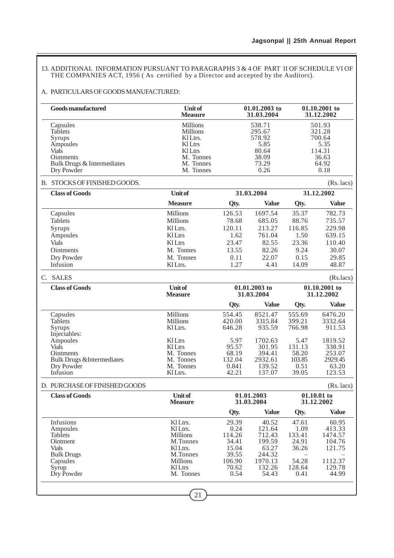13. ADDITIONAL INFORMATION PURSUANT TO PARAGRAPHS 3 & 4 OF PART II OF SCHEDULE VI OF THE COMPANIES ACT, 1956 ( As certified by a Director and accepted by the Auditors).

## A. PARTICULARS OF GOODS MANUFACTURED:

| <b>Goods manufactured</b>                         | <b>Unit of</b><br><b>Measure</b> |                 | 01.01.2003 to<br>31.03.2004 | 01.10.2001 to<br>31.12.2002 |                             |  |
|---------------------------------------------------|----------------------------------|-----------------|-----------------------------|-----------------------------|-----------------------------|--|
| Capsules<br><b>Tablets</b>                        | Millions<br><b>Millions</b>      |                 | 538.71<br>295.67            |                             | 501.93<br>321.28            |  |
| Syrups                                            | KlLtrs.                          |                 | 578.92                      |                             | 700.64                      |  |
| Ampoules<br><b>Vials</b>                          | <b>Kl</b> Ltrs<br><b>Kl</b> Ltrs |                 | 5.85<br>80.64               |                             | 5.35<br>114.31              |  |
| <b>Ointments</b>                                  | M. Tonnes                        | 38.09           |                             |                             | 36.63                       |  |
| Bulk Drugs & Intermediates                        | M. Tonnes                        | 73.29           |                             |                             | 64.92                       |  |
| Dry Powder                                        | M. Tonnes                        |                 | 0.26                        |                             | 0.18                        |  |
| B. STOCKS OF FINISHED GOODS.                      |                                  |                 |                             |                             | $(Rs.$ lacs $)$             |  |
| <b>Class of Goods</b>                             | <b>Unit of</b>                   |                 | 31.03.2004                  | 31.12.2002                  |                             |  |
|                                                   | <b>Measure</b>                   | Qty.            | <b>Value</b>                | Qty.                        | <b>Value</b>                |  |
| Capsules                                          | <b>Millions</b>                  | 126.53          | 1697.54                     | 35.37                       | 782.73                      |  |
| Tablets                                           | <b>Millions</b>                  | 78.68           | 685.05                      | 88.76                       | 735.57                      |  |
| Syrups                                            | KI Ltrs.                         | 120.11          | 213.27                      | 116.85                      | 229.98                      |  |
| Ampoules                                          | <b>KlLtrs</b>                    | 1.62            | 761.04                      | 1.50                        | 639.15                      |  |
| <b>Vials</b>                                      | <b>KlLtrs</b>                    | 23.47           | 82.55                       | 23.36                       | 110.40                      |  |
| Ointments                                         | M. Tonnes                        | 13.55           | 82.26                       | 9.24                        | 30.07                       |  |
| Dry Powder                                        | M. Tonnes                        | 0.11            | 22.07                       | 0.15                        | 29.85                       |  |
| Infusion                                          | Kl Ltrs.                         | 1.27            | 4.41                        | 14.09                       | 48.87                       |  |
| C. SALES                                          |                                  |                 |                             |                             | (Rs.lacs)                   |  |
| <b>Class of Goods</b>                             | <b>Unit of</b><br><b>Measure</b> |                 | 01.01.2003 to<br>31.03.2004 |                             | 01.10.2001 to<br>31.12.2002 |  |
|                                                   |                                  | Qty.            | <b>Value</b>                | Qty.                        | <b>Value</b>                |  |
| Capsules                                          | <b>Millions</b>                  | 554.45          | 8521.47                     | 555.69                      | 6476.20                     |  |
| <b>Tablets</b>                                    | <b>Millions</b>                  | 420.00          | 3315.84                     | 399.21                      | 3332.64                     |  |
| Syrups                                            | Kl Ltrs.                         | 646.28          | 935.59                      | 766.98                      | 911.53                      |  |
| Injectables:                                      |                                  |                 |                             |                             |                             |  |
| Ampoules                                          | KILtrs                           | 5.97            | 1702.63                     | 5.47                        | 1819.52                     |  |
| <b>Vials</b>                                      | <b>Kl</b> Ltrs<br>M. Tonnes      | 95.57           | 301.95<br>394.41            | 131.13                      | 338.91                      |  |
| Ointments<br><b>Bulk Drugs &amp;Intermediates</b> | M. Tonnes                        | 68.19<br>132.04 | 2932.61                     | 58.20<br>103.85             | 253.07<br>2929.45           |  |
| Dry Powder                                        | M. Tonnes                        | 0.841           | 139.52                      | 0.51                        | 63.20                       |  |
| Infusion                                          | Kl Ltrs.                         | 42.21           | 137.07                      | 39.05                       | 123.53                      |  |
| D. PURCHASE OF FINISHED GOODS                     |                                  |                 |                             |                             | $(Rs.$ lacs $)$             |  |
| <b>Class of Goods</b>                             | <b>Unit of</b>                   |                 | 01.01.2003                  |                             | $01.10.01$ to               |  |
|                                                   | <b>Measure</b>                   |                 | 31.03.2004                  |                             | 31.12.2002                  |  |
|                                                   |                                  | Qty.            | <b>Value</b>                | Qty.                        | <b>Value</b>                |  |
| Infusions                                         | Kl Ltrs.                         | 29.39           | 40.52                       | 47.61                       | 60.95                       |  |
| Ampoules                                          | Kl Ltrs.                         | 0.24            | 121.64                      | 1.09                        | 413.33                      |  |
| <b>Tablets</b>                                    | <b>Millions</b>                  | 114.26          | 712.43                      | 133.41                      | 1474.57                     |  |
| Ointment                                          | M.Tonnes                         | 34.41           | 199.59                      | 24.91                       | 104.76                      |  |
| <b>Vials</b>                                      | Kl Ltrs.                         | 15.04           | 63.27                       | 36.26                       | 121.75                      |  |
| <b>Bulk Drugs</b><br>Capsules                     | M.Tonnes<br><b>Millions</b>      | 39.55<br>106.90 | 244.32<br>1970.13           | 54.28                       | 1112.37                     |  |
| Syrup                                             | <b>Kl</b> Ltrs                   | 70.62           | 132.26                      | 128.64                      | 129.78                      |  |
| Dry Powder                                        | M. Tonnes                        | 0.54            | 54.43                       | 0.41                        | 44.99                       |  |
|                                                   |                                  |                 |                             |                             |                             |  |
|                                                   | 21                               |                 |                             |                             |                             |  |
|                                                   |                                  |                 |                             |                             |                             |  |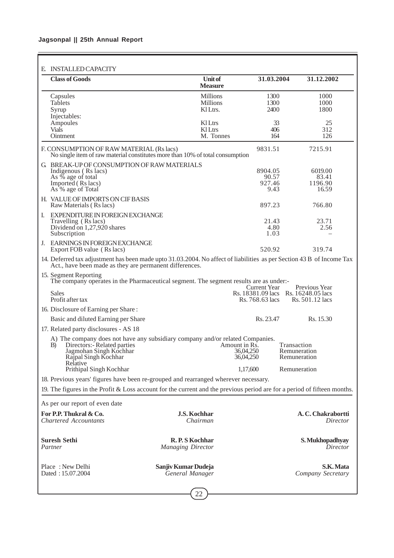| E. INSTALLED CAPACITY                                                                                                                                                            |                                                |                                         |                                                                         |  |  |  |  |  |  |
|----------------------------------------------------------------------------------------------------------------------------------------------------------------------------------|------------------------------------------------|-----------------------------------------|-------------------------------------------------------------------------|--|--|--|--|--|--|
| <b>Class of Goods</b>                                                                                                                                                            | Unit of<br><b>Measure</b>                      | 31.03.2004                              | 31.12.2002                                                              |  |  |  |  |  |  |
| Capsules<br><b>Tablets</b><br>Syrup<br>Injectables:                                                                                                                              | <b>Millions</b><br><b>Millions</b><br>KI Ltrs. | 1300<br>1300<br>2400                    | 1000<br>1000<br>1800                                                    |  |  |  |  |  |  |
| Ampoules<br><b>Vials</b><br>Ointment                                                                                                                                             | <b>KlLtrs</b><br><b>Kl</b> Ltrs<br>M. Tonnes   | 33<br>406<br>164                        | 25<br>312<br>126                                                        |  |  |  |  |  |  |
| F. CONSUMPTION OF RAW MATERIAL (Rs lacs)<br>No single item of raw material constitutes more than 10% of total consumption                                                        |                                                | 9831.51                                 | 7215.91                                                                 |  |  |  |  |  |  |
| G. BREAK-UP OF CONSUMPTION OF RAW MATERIALS<br>Indigenous (Rs lacs)<br>As % age of total<br>Imported (Rs lacs)<br>As <sup>'</sup> % age of Total                                 |                                                | 8904.05<br>90.57<br>927.46<br>9.43      | 6019.00<br>83.41<br>1196.90<br>16.59                                    |  |  |  |  |  |  |
| H. VALUE OF IMPORTS ON CIF BASIS<br>Raw Materials (Rs lacs)                                                                                                                      |                                                | 897.23                                  | 766.80                                                                  |  |  |  |  |  |  |
| EXPENDITURE IN FOREIGN EXCHANGE<br>I.<br>Travelling (Rs lacs)<br>Dividend on 1,27,920 shares<br>Subscription                                                                     |                                                | 21.43<br>4.80<br>1.03                   | 23.71<br>2.56                                                           |  |  |  |  |  |  |
| EARNINGS IN FOREIGN EXCHANGE<br>J.<br>Export FOB value (Rs lacs)                                                                                                                 |                                                | 520.92                                  | 319.74                                                                  |  |  |  |  |  |  |
| 14. Deferred tax adjustment has been made upto 31.03.2004. No affect of liabilities as per Section 43 B of Income Tax<br>Act., have been made as they are permanent differences. |                                                |                                         |                                                                         |  |  |  |  |  |  |
| 15. Segment Reporting<br>The company operates in the Pharmaceutical segment. The segment results are as under:-<br><b>Sales</b><br>Profit after tax                              |                                                | Current Year<br>Rs. 768.63 lacs         | Previous Year<br>Rs. 18381.09 lacs Rs. 16248.05 lacs<br>Rs. 501.12 lacs |  |  |  |  |  |  |
| 16. Disclosure of Earning per Share:<br>Basic and diluted Earning per Share                                                                                                      |                                                | Rs. 23.47                               | Rs. 15.30                                                               |  |  |  |  |  |  |
| 17. Related party disclosures - AS 18                                                                                                                                            |                                                |                                         |                                                                         |  |  |  |  |  |  |
| A) The company does not have any subsidiary company and/or related Companies.<br>Directors:- Related parties<br>B)<br>Jagmohan Singh Kochhar<br>Rajpal Singh Kochhar             |                                                | Amount in Rs.<br>36,04,250<br>36,04,250 | Transaction<br>Remuneration<br>Remuneration                             |  |  |  |  |  |  |
| Relative<br>Prithipal Singh Kochhar                                                                                                                                              |                                                | 1,17,600                                | Remuneration                                                            |  |  |  |  |  |  |
| 18. Previous years' figures have been re-grouped and rearranged wherever necessary.                                                                                              |                                                |                                         |                                                                         |  |  |  |  |  |  |
| 19. The figures in the Profit & Loss account for the current and the previous period are for a period of fifteen months.<br>As per our report of even date                       |                                                |                                         |                                                                         |  |  |  |  |  |  |
| For P.P. Thukral & Co.<br><b>Chartered Accountants</b>                                                                                                                           | <b>J.S. Kochhar</b><br>Chairman                |                                         | A. C. Chakrabortti<br>Director                                          |  |  |  |  |  |  |
| <b>Suresh Sethi</b><br>Partner                                                                                                                                                   | R.P.S Kochhar<br><b>Managing Director</b>      |                                         | S. Mukhopadhyay<br>Director                                             |  |  |  |  |  |  |
| Place: New Delhi<br>Dated: 15.07.2004                                                                                                                                            | Sanjiv Kumar Dudeja<br>General Manager         |                                         | S.K. Mata<br>Company Secretary                                          |  |  |  |  |  |  |
|                                                                                                                                                                                  | 22                                             |                                         |                                                                         |  |  |  |  |  |  |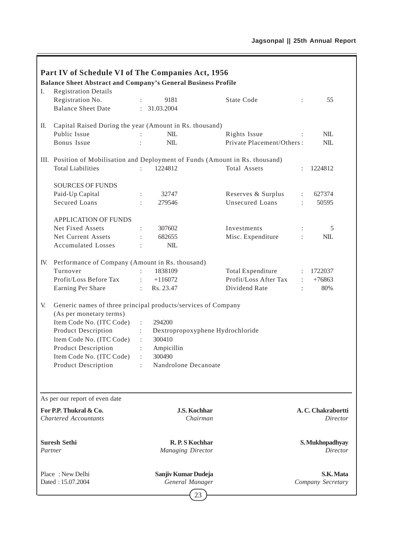|     | Part IV of Schedule VI of The Companies Act, 1956<br><b>Balance Sheet Abstract and Company's General Business Profile</b> |                                                               |                           |                      |                                |
|-----|---------------------------------------------------------------------------------------------------------------------------|---------------------------------------------------------------|---------------------------|----------------------|--------------------------------|
| I.  | <b>Registration Details</b>                                                                                               |                                                               |                           |                      |                                |
|     | Registration No.                                                                                                          | 9181<br>÷                                                     | <b>State Code</b>         | $\ddot{\cdot}$       | 55                             |
|     | <b>Balance Sheet Date</b>                                                                                                 | : 31.03.2004                                                  |                           |                      |                                |
| П.  | Capital Raised During the year (Amount in Rs. thousand)                                                                   |                                                               |                           |                      |                                |
|     | Public Issue                                                                                                              | <b>NIL</b>                                                    | Rights Issue              |                      | $NIL$                          |
|     | Bonus Issue                                                                                                               | <b>NIL</b>                                                    | Private Placement/Others: |                      | <b>NIL</b>                     |
|     | III. Position of Mobilisation and Deployment of Funds (Amount in Rs. thousand)                                            |                                                               |                           |                      |                                |
|     | <b>Total Liabilities</b>                                                                                                  | 1224812                                                       | Total Assets              | $\ddot{\phantom{0}}$ | 1224812                        |
|     | <b>SOURCES OF FUNDS</b>                                                                                                   |                                                               |                           |                      |                                |
|     | Paid-Up Capital                                                                                                           | 32747                                                         | Reserves & Surplus        | $\ddot{\phantom{a}}$ | 627374                         |
|     | <b>Secured Loans</b>                                                                                                      | 279546                                                        | Unsecured Loans           | $\ddot{\phantom{a}}$ | 50595                          |
|     | <b>APPLICATION OF FUNDS</b>                                                                                               |                                                               |                           |                      |                                |
|     | Net Fixed Assets                                                                                                          | 307602                                                        | Investments               |                      | 5                              |
|     | Net Current Assets                                                                                                        | 682655                                                        | Misc. Expenditure         | $\ddot{\cdot}$       | $NIL$                          |
|     | <b>Accumulated Losses</b>                                                                                                 | $NIL$<br>$\ddot{\cdot}$                                       |                           |                      |                                |
| IV. | Performance of Company (Amount in Rs. thousand)                                                                           |                                                               |                           |                      |                                |
|     | Turnover                                                                                                                  | 1838109                                                       | <b>Total Expenditure</b>  | $\ddot{\cdot}$       | 1722037                        |
|     | Profit/Loss Before Tax                                                                                                    | $+116072$<br>÷.                                               | Profit/Loss After Tax     | ÷                    | $+76863$                       |
|     | Earning Per Share                                                                                                         | Rs. 23.47<br>$\mathbb{R}^{\mathbb{Z}}$                        | Dividend Rate             | ÷                    | 80%                            |
| V.  | Generic names of three principal products/services of Company                                                             |                                                               |                           |                      |                                |
|     | (As per monetary terms)                                                                                                   |                                                               |                           |                      |                                |
|     | Item Code No. (ITC Code)                                                                                                  | 294200<br>$\ddot{\phantom{a}}$                                |                           |                      |                                |
|     | <b>Product Description</b>                                                                                                | Dextropropoxyphene Hydrochloride<br>$\mathbb{R}^{\mathbb{Z}}$ |                           |                      |                                |
|     | Item Code No. (ITC Code)                                                                                                  | 300410<br>$\ddot{\phantom{a}}$                                |                           |                      |                                |
|     | Product Description                                                                                                       | Ampicillin<br>÷                                               |                           |                      |                                |
|     | Item Code No. (ITC Code)                                                                                                  | $\ddot{\cdot}$<br>300490                                      |                           |                      |                                |
|     | <b>Product Description</b>                                                                                                | Nandrolone Decanoate                                          |                           |                      |                                |
|     |                                                                                                                           |                                                               |                           |                      |                                |
|     | As per our report of even date                                                                                            |                                                               |                           |                      |                                |
|     | For P.P. Thukral & Co.                                                                                                    | <b>J.S. Kochhar</b>                                           |                           |                      | A.C. Chakrabortti              |
|     | <b>Chartered Accountants</b>                                                                                              | Chairman                                                      |                           |                      | Director                       |
|     | <b>Suresh Sethi</b>                                                                                                       | R. P. S Kochhar                                               |                           |                      | S. Mukhopadhyay                |
|     | Partner                                                                                                                   | <b>Managing Director</b>                                      |                           |                      | Director                       |
|     | Place: New Delhi<br>Dated: 15.07.2004                                                                                     | Sanjiv Kumar Dudeja<br>General Manager                        |                           |                      | S.K. Mata<br>Company Secretary |
|     |                                                                                                                           | 23                                                            |                           |                      |                                |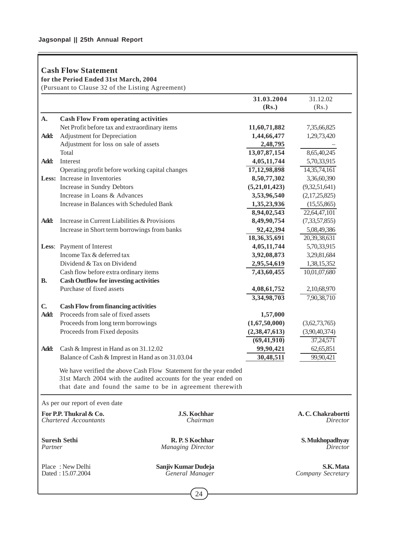## **Cash Flow Statement**

**for the Period Ended 31st March, 2004**

(Pursuant to Clause 32 of the Listing Agreement)

|                                                                    |                                                                          |                                                                   | 31.03.2004               | 31.12.02          |
|--------------------------------------------------------------------|--------------------------------------------------------------------------|-------------------------------------------------------------------|--------------------------|-------------------|
|                                                                    |                                                                          |                                                                   | (Rs.)                    | (Rs.)             |
| A.                                                                 | <b>Cash Flow From operating activities</b>                               |                                                                   |                          |                   |
|                                                                    | Net Profit before tax and extraordinary items                            |                                                                   | 11,60,71,882             | 7,35,66,825       |
| Add:                                                               | Adjustment for Depreciation                                              |                                                                   | 1,44,66,477              | 1,29,73,420       |
|                                                                    | Adjustment for loss on sale of assets                                    |                                                                   | 2,48,795                 |                   |
|                                                                    | Total                                                                    |                                                                   | 13,07,87,154             | 8,65,40,245       |
| Add:                                                               | Interest                                                                 |                                                                   | 4,05,11,744              | 5,70,33,915       |
|                                                                    | Operating profit before working capital changes                          |                                                                   | 17, 12, 98, 898          | 14, 35, 74, 161   |
|                                                                    | Less: Increase in Inventories                                            |                                                                   | 8,50,77,302              | 3,36,60,390       |
|                                                                    | Increase in Sundry Debtors                                               |                                                                   | (5,21,01,423)            | (9,32,51,641)     |
|                                                                    | Increase in Loans & Advances                                             |                                                                   | 3,53,96,540              | (2,17,25,825)     |
|                                                                    | Increase in Balances with Scheduled Bank                                 |                                                                   | 1,35,23,936              | (15,55,865)       |
|                                                                    |                                                                          |                                                                   | 8,94,02,543              | 22,64,47,101      |
| Add:                                                               | Increase in Current Liabilities & Provisions                             |                                                                   | 8,49,90,754              | (7,33,57,855)     |
|                                                                    | Increase in Short term borrowings from banks                             |                                                                   | 92,42,394                | 5,08,49,386       |
|                                                                    |                                                                          |                                                                   | 18,36,35,691             | 20,39,38,631      |
|                                                                    | Less: Payment of Interest                                                |                                                                   | 4,05,11,744              | 5,70,33,915       |
|                                                                    | Income Tax & deferred tax                                                |                                                                   | 3,92,08,873              | 3,29,81,684       |
|                                                                    | Dividend & Tax on Dividend                                               |                                                                   | 2,95,54,619              | 1,38,15,352       |
|                                                                    | Cash flow before extra ordinary items                                    |                                                                   | 7,43,60,455              | 10,01,07,680      |
| <b>B.</b>                                                          | <b>Cash Outflow for investing activities</b><br>Purchase of fixed assets | 4,08,61,752                                                       | 2,10,68,970              |                   |
|                                                                    |                                                                          |                                                                   | 3,34,98,703              | 7,90,38,710       |
| $\mathbf{C}$                                                       | <b>Cash Flow from financing activities</b>                               |                                                                   |                          |                   |
| Add:                                                               | Proceeds from sale of fixed assets                                       |                                                                   | 1,57,000                 |                   |
|                                                                    | Proceeds from long term borrowings                                       |                                                                   | (1,67,50,000)            | (3,62,73,765)     |
|                                                                    | Proceeds from Fixed deposits                                             | (2, 38, 47, 613)                                                  | (3,90,40,374)            |                   |
|                                                                    |                                                                          |                                                                   | $\overline{(69,41,910)}$ | 37,24,571         |
| Add:                                                               | Cash & Imprest in Hand as on 31.12.02                                    |                                                                   | 99,90,421                | 62,65,851         |
|                                                                    | Balance of Cash & Imprest in Hand as on 31.03.04                         |                                                                   | 30,48,511                | 99,90,421         |
|                                                                    |                                                                          |                                                                   |                          |                   |
|                                                                    |                                                                          | We have verified the above Cash Flow Statement for the year ended |                          |                   |
|                                                                    |                                                                          | 31st March 2004 with the audited accounts for the year ended on   |                          |                   |
|                                                                    |                                                                          | that date and found the same to be in agreement therewith         |                          |                   |
|                                                                    | As per our report of even date                                           |                                                                   |                          |                   |
|                                                                    |                                                                          | <b>J.S. Kochhar</b>                                               |                          | A.C. Chakrabortti |
| For P.P. Thukral & Co.<br><b>Chartered Accountants</b><br>Chairman |                                                                          |                                                                   | Director                 |                   |
|                                                                    |                                                                          |                                                                   |                          |                   |
|                                                                    | <b>Suresh Sethi</b>                                                      | R.P.S Kochhar                                                     |                          | S. Mukhopadhyay   |
| Partner                                                            |                                                                          | <b>Managing Director</b>                                          |                          | Director          |
|                                                                    |                                                                          |                                                                   |                          |                   |
|                                                                    | Place: New Delhi                                                         | Sanjiv Kumar Dudeja                                               |                          | S.K. Mata         |
| Dated: 15.07.2004<br>General Manager                               |                                                                          |                                                                   | Company Secretary        |                   |
|                                                                    |                                                                          |                                                                   |                          |                   |
|                                                                    |                                                                          |                                                                   |                          |                   |
|                                                                    |                                                                          | 24                                                                |                          |                   |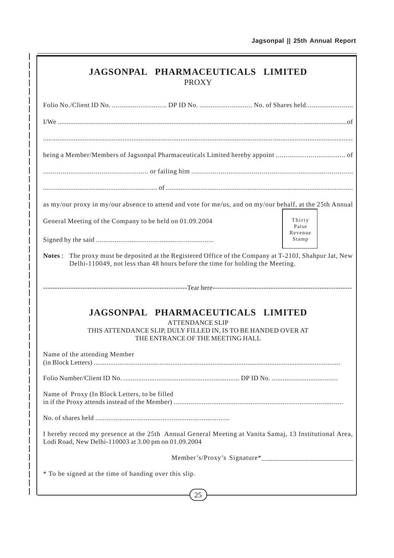|                                                                                                                                                                | JAGSONPAL PHARMACEUTICALS LIMITED<br><b>PROXY</b>                                                                                                                |                            |
|----------------------------------------------------------------------------------------------------------------------------------------------------------------|------------------------------------------------------------------------------------------------------------------------------------------------------------------|----------------------------|
|                                                                                                                                                                |                                                                                                                                                                  |                            |
|                                                                                                                                                                |                                                                                                                                                                  |                            |
|                                                                                                                                                                |                                                                                                                                                                  |                            |
|                                                                                                                                                                |                                                                                                                                                                  |                            |
|                                                                                                                                                                |                                                                                                                                                                  |                            |
| as my/our proxy in my/our absence to attend and vote for me/us, and on my/our behalf, at the 25th Annual                                                       |                                                                                                                                                                  |                            |
| General Meeting of the Company to be held on 01.09.2004                                                                                                        |                                                                                                                                                                  | Thirty<br>Paise<br>Revenue |
|                                                                                                                                                                |                                                                                                                                                                  | Stamp                      |
|                                                                                                                                                                | JAGSONPAL PHARMACEUTICALS LIMITED<br><b>ATTENDANCE SLIP</b><br>THIS ATTENDANCE SLIP, DULY FILLED IN, IS TO BE HANDED OVER AT<br>THE ENTRANCE OF THE MEETING HALL |                            |
| Name of the attending Member                                                                                                                                   |                                                                                                                                                                  |                            |
|                                                                                                                                                                |                                                                                                                                                                  |                            |
| Name of Proxy (In Block Letters, to be filled                                                                                                                  |                                                                                                                                                                  |                            |
|                                                                                                                                                                |                                                                                                                                                                  |                            |
| I hereby record my presence at the 25th Annual General Meeting at Vanita Samaj, 13 Institutional Area,<br>Lodi Road, New Delhi-110003 at 3.00 pm on 01.09.2004 |                                                                                                                                                                  |                            |
|                                                                                                                                                                |                                                                                                                                                                  |                            |
| * To be signed at the time of handing over this slip.                                                                                                          |                                                                                                                                                                  |                            |
|                                                                                                                                                                | 25                                                                                                                                                               |                            |

 $\overline{\phantom{a}}$  $\overline{\phantom{a}}$  $\overline{\phantom{a}}$ I

> I I

> I

I I